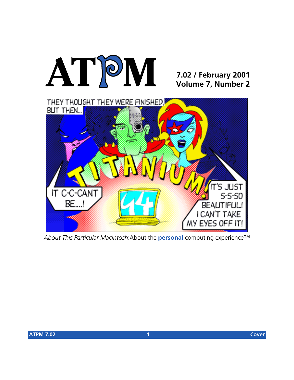

## **7.02 / February 2001 Volume 7, Number 2**



*About This Particular Macintosh*:About the **personal** computing experience™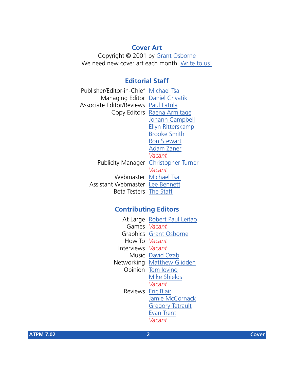## **Cover Art**

Copyright © 2001 by [Grant Osborne](mailto:gosborne@atpm.com) We need new cover art each month. [Write to us!](mailto:cover-art@atpm.com)

## **Editorial Staff**

| Publisher/Editor-in-Chief Michael Tsai |                                      |
|----------------------------------------|--------------------------------------|
| Managing Editor Daniel Chvatik         |                                      |
| Associate Editor/Reviews Paul Fatula   |                                      |
|                                        | Copy Editors Raena Armitage          |
|                                        | Johann Campbell                      |
|                                        | Ellyn Ritterskamp                    |
|                                        | <b>Brooke Smith</b>                  |
|                                        | <b>Ron Stewart</b>                   |
|                                        | Adam Zaner                           |
|                                        | Vacant                               |
|                                        | Publicity Manager Christopher Turner |
|                                        | Vacant                               |
|                                        | Webmaster Michael Tsai               |
| Assistant Webmaster Lee Bennett        |                                      |
| Beta Testers The Staff                 |                                      |
|                                        |                                      |

## **Contributing Editors**

| At Large            | Robert Paul Leitao      |
|---------------------|-------------------------|
| Games <i>Vacant</i> |                         |
|                     | Graphics Grant Osborne  |
| How To Vacant       |                         |
| <b>Interviews</b>   | Vacant                  |
| Music               | David Ozab              |
| Networking          | <b>Matthew Glidden</b>  |
| Opinion             | Tom Iovino              |
|                     | <b>Mike Shields</b>     |
|                     | Vacant                  |
|                     | Reviews Eric Blair      |
|                     | Jamie McCornack         |
|                     | <b>Gregory Tetrault</b> |
|                     | <b>Evan Trent</b>       |
|                     | Vacant                  |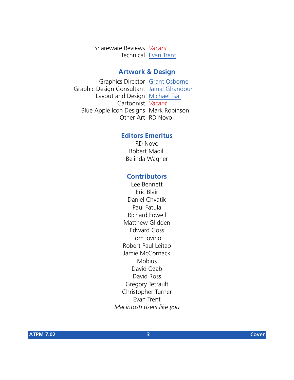Shareware Reviews *Vacant* Technical [Evan Trent](mailto:etrent@atpm.com)

#### **Artwork & Design**

Graphics Director [Grant Osborne](mailto:gosborne@atpm.com) Graphic Design Consultant [Jamal Ghandour](mailto:jghandour@atpm.com) Layout and Design [Michael Tsai](mailto:mtsai@atpm.com) Cartoonist *Vacant* Blue Apple Icon Designs Mark Robinson Other Art RD Novo

### **Editors Emeritus**

RD Novo Robert Madill Belinda Wagner

### **Contributors**

Lee Bennett Eric Blair Daniel Chvatik Paul Fatula Richard Fowell Matthew Glidden Edward Goss Tom Iovino Robert Paul Leitao Jamie McCornack **Mobius** David Ozab David Ross Gregory Tetrault Christopher Turner Evan Trent *Macintosh users like you*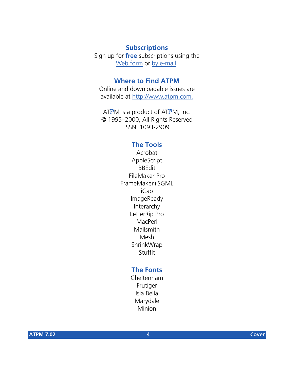## **Subscriptions**

Sign up for **free** subscriptions using the [Web form](http://www.atpm.com/subscribe/) or [by e-mail.](mailto:subscriptions@atpm.com)

## **Where to Find ATPM**

Online and downloadable issues are available at [http://www.atpm.com.](http://www.atpm.com)

ATPM is a product of ATPM, Inc. © 1995–2000, All Rights Reserved ISSN: 1093-2909

### **The Tools**

Acrobat AppleScript BBEdit FileMaker Pro FrameMaker+SGML iCab ImageReady Interarchy LetterRip Pro MacPerl Mailsmith Mesh ShrinkWrap **StuffIt** 

## **The Fonts**

Cheltenham Frutiger Isla Bella Marydale Minion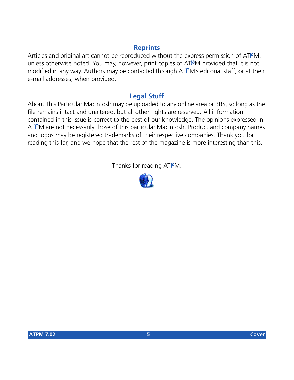## **Reprints**

Articles and original art cannot be reproduced without the express permission of ATPM, unless otherwise noted. You may, however, print copies of ATPM provided that it is not modified in any way. Authors may be contacted through ATPM's editorial staff, or at their e-mail addresses, when provided.

## **Legal Stuff**

About This Particular Macintosh may be uploaded to any online area or BBS, so long as the file remains intact and unaltered, but all other rights are reserved. All information contained in this issue is correct to the best of our knowledge. The opinions expressed in ATPM are not necessarily those of this particular Macintosh. Product and company names and logos may be registered trademarks of their respective companies. Thank you for reading this far, and we hope that the rest of the magazine is more interesting than this.

Thanks for reading ATPM.

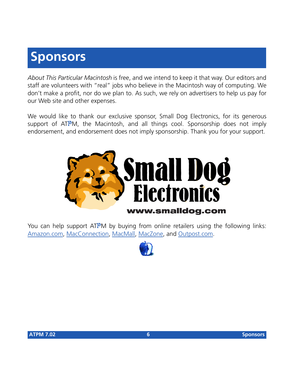# **Sponsors**

*About This Particular Macintosh* is free, and we intend to keep it that way. Our editors and staff are volunteers with "real" jobs who believe in the Macintosh way of computing. We don't make a profit, nor do we plan to. As such, we rely on advertisers to help us pay for our Web site and other expenses.

We would like to thank our exclusive sponsor, Small Dog Electronics, for its generous support of ATPM, the Macintosh, and all things cool. Sponsorship does not imply endorsement, and endorsement does not imply sponsorship. Thank you for your support.



You can help support ATPM by buying from online retailers using the following links: [Amazon.com](http://www.amazon.com/exec/obidos/redirect-home/aboutthisparticu), [MacConnection](http://service.bfast.com/bfast/click/mid9452939?siteid=13311227&bfpage=machomepage), [MacMall](http://www.commission-junction.com/track/track.dll?AID=53427&PID=297078&URL=http%3A%2F%2Fwww%2Emacmall%2Ecom%2Fmacaffiliate), [MacZone,](http://service.bfast.com/bfast/click?bfmid=1942029&siteid=26240435&bfpage=mac_zone) and [Outpost.com.](http://www.linksynergy.com/fs-bin/stat?id=N00D3BtDeo0&offerid=2161&type=3)

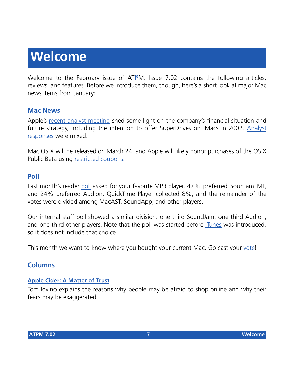# **Welcome**

Welcome to the February issue of ATPM. Issue 7.02 contains the following articles, reviews, and features. Before we introduce them, though, here's a short look at major Mac news items from January:

## **Mac News**

Apple's [recent analyst meeting](http://www.macnn.com/feature.php?id=196) shed some light on the company's financial situation and future strategy, including the intention to offer SuperDrives on iMacs in 2002. [Analyst](http://www.thestreet.com/_yahoo/tech/hardware/1287256.html) [responses](http://www.thestreet.com/_yahoo/tech/hardware/1287256.html) were mixed.

Mac OS X will be released on March 24, and Apple will likely honor purchases of the OS X Public Beta using [restricted coupons](http://www.macnn.com/news.php?id=2973).

## **Poll**

Last month's reader [poll](http://www.atpm.com/polls/) asked for your favorite MP3 player. 47% preferred SounJam MP, and 24% preferred Audion. QuickTime Player collected 8%, and the remainder of the votes were divided among MacAST, SoundApp, and other players.

Our internal staff poll showed a similar division: one third SoundJam, one third Audion, and one third other players. Note that the poll was started before [iTunes](http://www.atpm.com/7.02/itunes.shtml) was introduced, so it does not include that choice.

This month we want to know where you bought your current Mac. Go cast your [vote](http://www.atpm.com/index.shtml#poll)!

## **Columns**

#### **[Apple Cider: A Matter of Trust](http://www.atpm.com/7.02/cider.shtml)**

Tom Iovino explains the reasons why people may be afraid to shop online and why their fears may be exaggerated.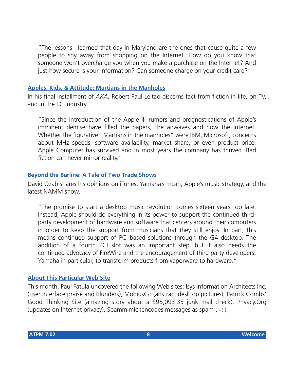"The lessons I learned that day in Maryland are the ones that cause quite a few people to shy away from shopping on the Internet. How do you know that someone won't overcharge you when you make a purchase on the Internet? And just how secure is your information? Can someone charge on your credit card?"

#### **[Apples, Kids, & Attitude: Martians in the Manholes](http://www.atpm.com/7.02/aka.shtml)**

In his final installment of *AKA*, Robert Paul Leitao discerns fact from fiction in life, on TV, and in the PC industry.

"Since the introduction of the Apple II, rumors and prognostications of Apple's imminent demise have filled the papers, the airwaves and now the Internet. Whether the figurative "Martians in the manholes" were IBM, Microsoft, concerns about MHz speeds, software availability, market share, or even product price, Apple Computer has survived and in most years the company has thrived. Bad fiction can never mirror reality."

#### **[Beyond the Barline: A Tale of Two Trade Shows](http://www.atpm.com/7.02/barline.shtml)**

David Ozab shares his opinions on iTunes, Yamaha's mLan, Apple's music strategy, and the latest NAMM show.

"The promise to start a desktop music revolution comes sixteen years too late. Instead, Apple should do everything in its power to support the continued thirdparty development of hardware and software that centers around their computers in order to keep the support from musicians that they still enjoy. In part, this means continued support of PCI-based solutions through the G4 desktop. The addition of a fourth PCI slot was an important step, but it also needs the continued advocacy of FireWire and the encouragement of third party developers, Yamaha in particular, to transform products from vaporware to hardware."

#### **[About This Particular Web Site](http://www.atpm.com/7.02/atpw.shtml)**

This month, Paul Fatula uncovered the following Web sites: Isys Information Architects Inc. (user interface praise and blunders), MobiusCo (abstract desktop pictures), Patrick Combs' Good Thinking Site (amazing story about a \$95,093.35 junk mail check), Privacy.Org (updates on Internet privacy), Spammimic (encodes messages as spam  $; -)$ ).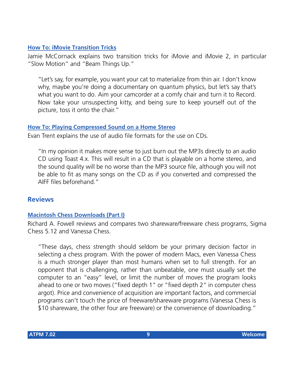#### **[How To: iMovie Transition Tricks](http://www.atpm.com/7.02/imovie-transition-tricks.shtml)**

Jamie McCornack explains two transition tricks for iMovie and iMovie 2, in particular "Slow Motion" and "Beam Things Up."

"Let's say, for example, you want your cat to materialize from thin air. I don't know why, maybe you're doing a documentary on quantum physics, but let's say that's what you want to do. Aim your camcorder at a comfy chair and turn it to Record. Now take your unsuspecting kitty, and being sure to keep yourself out of the picture, toss it onto the chair."

#### **[How To: Playing Compressed Sound on a Home Stereo](http://www.atpm.com/7.02/compressed-sound.shtml)**

Evan Trent explains the use of audio file formats for the use on CDs.

"In my opinion it makes more sense to just burn out the MP3s directly to an audio CD using Toast 4.x. This will result in a CD that is playable on a home stereo, and the sound quality will be no worse than the MP3 source file, although you will not be able to fit as many songs on the CD as if you converted and compressed the AIFF files beforehand."

### **Reviews**

#### **[Macintosh Chess Downloads \(Part I\)](http://www.atpm.com/7.02/chess.shtml)**

Richard A. Fowell reviews and compares two shareware/freeware chess programs, Sigma Chess 5.12 and Vanessa Chess.

"These days, chess strength should seldom be your primary decision factor in selecting a chess program. With the power of modern Macs, even Vanessa Chess is a much stronger player than most humans when set to full strength. For an opponent that is challenging, rather than unbeatable, one must usually set the computer to an "easy" level, or limit the number of moves the program looks ahead to one or two moves ("fixed depth 1" or "fixed depth 2" in computer chess argot). Price and convenience of acquisition are important factors, and commercial programs can't touch the price of freeware/shareware programs (Vanessa Chess is \$10 shareware, the other four are freeware) or the convenience of downloading."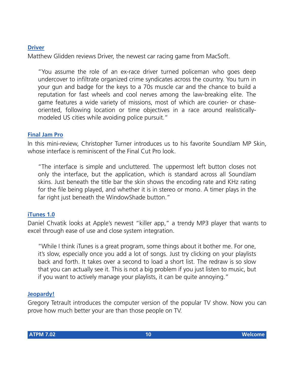## **[Driver](http://www.atpm.com/7.02/driver.shtml)**

Matthew Glidden reviews Driver, the newest car racing game from MacSoft.

"You assume the role of an ex-race driver turned policeman who goes deep undercover to infiltrate organized crime syndicates across the country. You turn in your gun and badge for the keys to a 70s muscle car and the chance to build a reputation for fast wheels and cool nerves among the law-breaking elite. The game features a wide variety of missions, most of which are courier- or chaseoriented, following location or time objectives in a race around realisticallymodeled US cities while avoiding police pursuit."

#### **[Final Jam Pro](http://www.atpm.com/7.02/final-jam-pro.shtml)**

In this mini-review, Christopher Turner introduces us to his favorite SoundJam MP Skin, whose interface is reminiscent of the Final Cut Pro look

"The interface is simple and uncluttered. The uppermost left button closes not only the interface, but the application, which is standard across all SoundJam skins. Just beneath the title bar the skin shows the encoding rate and KHz rating for the file being played, and whether it is in stereo or mono. A timer plays in the far right just beneath the WindowShade button."

#### **[iTunes 1.0](http://www.atpm.com/7.02/itunes.shtml)**

Daniel Chvatik looks at Apple's newest "killer app," a trendy MP3 player that wants to excel through ease of use and close system integration.

"While I think iTunes is a great program, some things about it bother me. For one, it's slow, especially once you add a lot of songs. Just try clicking on your playlists back and forth. It takes over a second to load a short list. The redraw is so slow that you can actually see it. This is not a big problem if you just listen to music, but if you want to actively manage your playlists, it can be quite annoying."

#### **[Jeopardy!](http://www.atpm.com/7.02/jeopardy.shtml)**

Gregory Tetrault introduces the computer version of the popular TV show. Now you can prove how much better your are than those people on TV.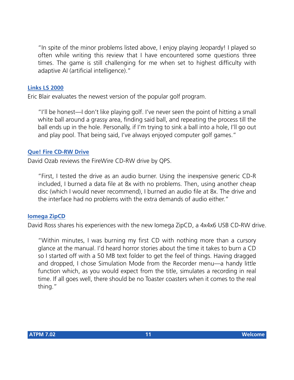"In spite of the minor problems listed above, I enjoy playing Jeopardy! I played so often while writing this review that I have encountered some questions three times. The game is still challenging for me when set to highest difficulty with adaptive AI (artificial intelligence)."

#### **[Links LS 2000](http://www.atpm.com/7.02/links-ls.shtml)**

Eric Blair evaluates the newest version of the popular golf program.

"I'll be honest—I don't like playing golf. I've never seen the point of hitting a small white ball around a grassy area, finding said ball, and repeating the process till the ball ends up in the hole. Personally, if I'm trying to sink a ball into a hole, I'll go out and play pool. That being said, I've always enjoyed computer golf games."

#### **[Que! Fire CD-RW Drive](http://www.atpm.com/7.02/que-fire.shtml)**

David Ozab reviews the FireWire CD-RW drive by QPS.

"First, I tested the drive as an audio burner. Using the inexpensive generic CD-R included, I burned a data file at 8x with no problems. Then, using another cheap disc (which I would never recommend), I burned an audio file at 8x. The drive and the interface had no problems with the extra demands of audio either."

#### **[Iomega ZipCD](http://www.atpm.com/7.02/zipcd.shtml)**

David Ross shares his experiences with the new Iomega ZipCD, a 4x4x6 USB CD-RW drive.

"Within minutes, I was burning my first CD with nothing more than a cursory glance at the manual. I'd heard horror stories about the time it takes to burn a CD so I started off with a 50 MB text folder to get the feel of things. Having dragged and dropped, I chose Simulation Mode from the Recorder menu—a handy little function which, as you would expect from the title, simulates a recording in real time. If all goes well, there should be no Toaster coasters when it comes to the real thing."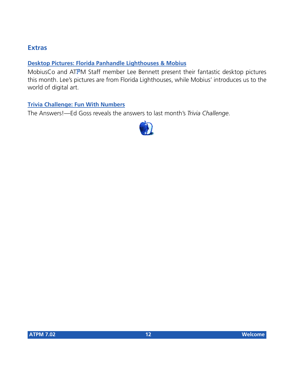## **Extras**

#### **[Desktop Pictures: Florida Panhandle Lighthouses & Mobius](http://www.atpm.com/7.02/desktop-pictures.shtml)**

MobiusCo and ATPM Staff member Lee Bennett present their fantastic desktop pictures this month. Lee's pictures are from Florida Lighthouses, while Mobius' introduces us to the world of digital art.

#### **[Trivia Challenge: Fun With Numbers](http://www.atpm.com/7.02/trivia.shtml)**

The Answers!—Ed Goss reveals the answers to last month's *Trivia Challenge*.

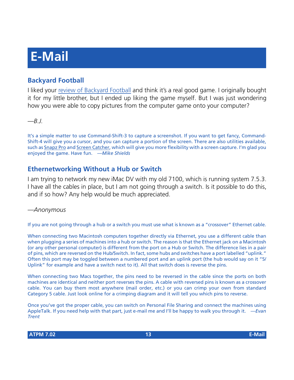# **E-Mail**

## **Backyard Football**

I liked your [review of Backyard Football](http://www.atpm.com/5.12/byf.shtml) and think it's a real good game. I originally bought it for my little brother, but I ended up liking the game myself. But I was just wondering how you were able to copy pictures from the computer game onto your computer?

*—B.J.*

It's a simple matter to use Command-Shift-3 to capture a screenshot. If you want to get fancy, Command-Shift-4 will give you a cursor, and you can capture a portion of the screen. There are also utilities available, such as [Snapz Pro](http://www.AmbrosiaSW.com/Products/SnapzPro.html) and [Screen Catcher,](http://www.stclairsw.com/ScreenCatcher/index.html) which will give you more flexibility with a screen capture. I'm glad you enjoyed the game. Have fun. *—Mike Shields*

## **Ethernetworking Without a Hub or Switch**

I am trying to network my new iMac DV with my old 7100, which is running system 7.5.3. I have all the cables in place, but I am not going through a switch. Is it possible to do this, and if so how? Any help would be much appreciated.

## *—Anonymous*

If you are not going through a hub or a switch you must use what is known as a "crossover" Ethernet cable.

When connecting two Macintosh computers together directly via Ethernet, you use a different cable than when plugging a series of machines into a hub or switch. The reason is that the Ethernet jack on a Macintosh (or any other personal computer) is different from the port on a Hub or Switch. The difference lies in a pair of pins, which are reversed on the Hub/Switch. In fact, some hubs and switches have a port labelled "uplink." Often this port may be toggled between a numbered port and an uplink port (the hub would say on it "5/ Uplink" for example and have a switch next to it). All that switch does is reverse the pins.

When connecting two Macs together, the pins need to be reversed in the cable since the ports on both machines are identical and neither port reverses the pins. A cable with reversed pins is known as a crossover cable. You can buy them most anywhere (mail order, etc.) or you can crimp your own from standard Category 5 cable. Just look online for a crimping diagram and it will tell you which pins to reverse.

Once you've got the proper cable, you can switch on Personal File Sharing and connect the machines using AppleTalk. If you need help with that part, just e-mail me and I'll be happy to walk you through it. *—Evan Trent*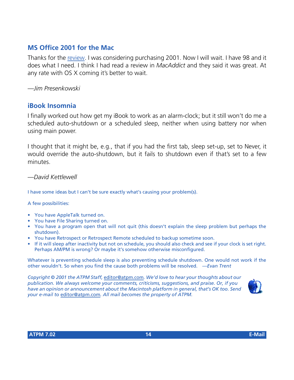## **MS Office 2001 for the Mac**

Thanks for the [review](http://www.atpm.com/7.01/office.shtml). I was considering purchasing 2001. Now I will wait. I have 98 and it does what I need. I think I had read a review in *MacAddict* and they said it was great. At any rate with OS X coming it's better to wait.

*—Jim Presenkowski*

## **iBook Insomnia**

I finally worked out how get my iBook to work as an alarm-clock; but it still won't do me a scheduled auto-shutdown or a scheduled sleep, neither when using battery nor when using main power.

I thought that it might be, e.g., that if you had the first tab, sleep set-up, set to Never, it would override the auto-shutdown, but it fails to shutdown even if that's set to a few minutes.

*—David Kettlewell*

I have some ideas but I can't be sure exactly what's causing your problem(s).

A few possibilities:

- You have AppleTalk turned on.
- You have File Sharing turned on.
- You have a program open that will not quit (this doesn't explain the sleep problem but perhaps the shutdown).
- You have Retrospect or Retrospect Remote scheduled to backup sometime soon.
- If it will sleep after inactivity but not on schedule, you should also check and see if your clock is set right. Perhaps AM/PM is wrong? Or maybe it's somehow otherwise misconfigured.

Whatever is preventing schedule sleep is also preventing schedule shutdown. One would not work if the other wouldn't. So when you find the cause both problems will be resolved. *—Evan Trent*

*Copyright © 2001 the ATPM Staff,* [editor@atpm.com](mailto:editor@atpm.com)*. We'd love to hear your thoughts about our publication. We always welcome your comments, criticisms, suggestions, and praise. Or, if you have an opinion or announcement about the Macintosh platform in general, that's OK too. Send your e-mail to* [editor@atpm.com](mailto:editor@atpm.com)*. All mail becomes the property of ATPM.*

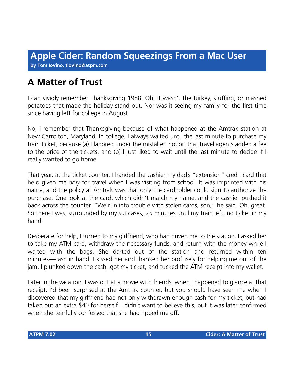**by Tom Iovino, [tiovino@atpm.com](mailto:tiovino@atpm.com)**

## **A Matter of Trust**

I can vividly remember Thanksgiving 1988. Oh, it wasn't the turkey, stuffing, or mashed potatoes that made the holiday stand out. Nor was it seeing my family for the first time since having left for college in August.

No, I remember that Thanksgiving because of what happened at the Amtrak station at New Carrolton, Maryland. In college, I always waited until the last minute to purchase my train ticket, because (a) I labored under the mistaken notion that travel agents added a fee to the price of the tickets, and (b) I just liked to wait until the last minute to decide if I really wanted to go home.

That year, at the ticket counter, I handed the cashier my dad's "extension" credit card that he'd given me *only* for travel when I was visiting from school. It was imprinted with his name, and the policy at Amtrak was that only the cardholder could sign to authorize the purchase. One look at the card, which didn't match my name, and the cashier pushed it back across the counter. "We run into trouble with stolen cards, son," he said. Oh, great. So there I was, surrounded by my suitcases, 25 minutes until my train left, no ticket in my hand.

Desperate for help, I turned to my girlfriend, who had driven me to the station. I asked her to take my ATM card, withdraw the necessary funds, and return with the money while I waited with the bags. She darted out of the station and returned within ten minutes—cash in hand. I kissed her and thanked her profusely for helping me out of the jam. I plunked down the cash, got my ticket, and tucked the ATM receipt into my wallet.

Later in the vacation, I was out at a movie with friends, when I happened to glance at that receipt. I'd been surprised at the Amtrak counter, but you should have seen me when I discovered that my girlfriend had not only withdrawn enough cash for my ticket, but had taken out an extra \$40 for herself. I didn't want to believe this, but it was later confirmed when she tearfully confessed that she had ripped me off.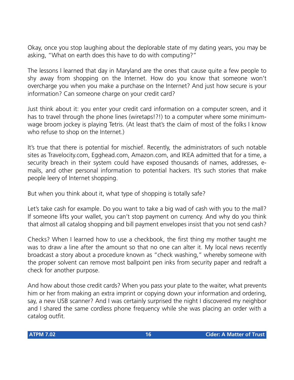Okay, once you stop laughing about the deplorable state of my dating years, you may be asking, "What on earth does this have to do with computing?"

The lessons I learned that day in Maryland are the ones that cause quite a few people to shy away from shopping on the Internet. How do you know that someone won't overcharge you when you make a purchase on the Internet? And just how secure is your information? Can someone charge on your credit card?

Just think about it: you enter your credit card information on a computer screen, and it has to travel through the phone lines (wiretaps!?!) to a computer where some minimumwage broom jockey is playing Tetris. (At least that's the claim of most of the folks I know who refuse to shop on the Internet.)

It's true that there is potential for mischief. Recently, the administrators of such notable sites as Travelocity.com, Egghead.com, Amazon.com, and IKEA admitted that for a time, a security breach in their system could have exposed thousands of names, addresses, emails, and other personal information to potential hackers. It's such stories that make people leery of Internet shopping.

But when you think about it, what type of shopping is totally safe?

Let's take cash for example. Do you want to take a big wad of cash with you to the mall? If someone lifts your wallet, you can't stop payment on currency. And why do you think that almost all catalog shopping and bill payment envelopes insist that you not send cash?

Checks? When I learned how to use a checkbook, the first thing my mother taught me was to draw a line after the amount so that no one can alter it. My local news recently broadcast a story about a procedure known as "check washing," whereby someone with the proper solvent can remove most ballpoint pen inks from security paper and redraft a check for another purpose.

And how about those credit cards? When you pass your plate to the waiter, what prevents him or her from making an extra imprint or copying down your information and ordering, say, a new USB scanner? And I was certainly surprised the night I discovered my neighbor and I shared the same cordless phone frequency while she was placing an order with a catalog outfit.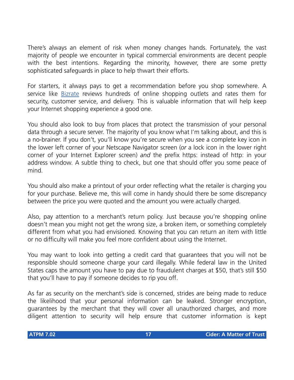There's always an element of risk when money changes hands. Fortunately, the vast majority of people we encounter in typical commercial environments are decent people with the best intentions. Regarding the minority, however, there are some pretty sophisticated safeguards in place to help thwart their efforts.

For starters, it always pays to get a recommendation before you shop somewhere. A service like [Bizrate](http://www.bizrate.com) reviews hundreds of online shopping outlets and rates them for security, customer service, and delivery. This is valuable information that will help keep your Internet shopping experience a good one.

You should also look to buy from places that protect the transmission of your personal data through a secure server. The majority of you know what I'm talking about, and this is a no-brainer. If you don't, you'll know you're secure when you see a complete key icon in the lower left corner of your Netscape Navigator screen (*or* a lock icon in the lower right corner of your Internet Explorer screen) *and* the prefix https: instead of http: in your address window. A subtle thing to check, but one that should offer you some peace of mind.

You should also make a printout of your order reflecting what the retailer is charging you for your purchase. Believe me, this will come in handy should there be some discrepancy between the price you were quoted and the amount you were actually charged.

Also, pay attention to a merchant's return policy. Just because you're shopping online doesn't mean you might not get the wrong size, a broken item, or something completely different from what you had envisioned. Knowing that you can return an item with little or no difficulty will make you feel more confident about using the Internet.

You may want to look into getting a credit card that guarantees that you will not be responsible should someone charge your card illegally. While federal law in the United States caps the amount you have to pay due to fraudulent charges at \$50, that's still \$50 that you'll have to pay if someone decides to rip you off.

As far as security on the merchant's side is concerned, strides are being made to reduce the likelihood that your personal information can be leaked. Stronger encryption, guarantees by the merchant that they will cover all unauthorized charges, and more diligent attention to security will help ensure that customer information is kept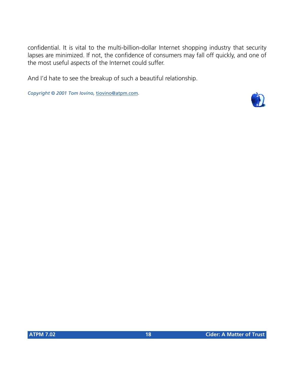confidential. It is vital to the multi-billion-dollar Internet shopping industry that security lapses are minimized. If not, the confidence of consumers may fall off quickly, and one of the most useful aspects of the Internet could suffer.

And I'd hate to see the breakup of such a beautiful relationship.

*Copyright © 2001 Tom Iovino,* [tiovino@atpm.com](mailto:tiovino@atpm.com)*.*

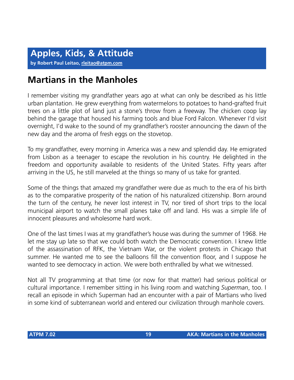## **Martians in the Manholes**

I remember visiting my grandfather years ago at what can only be described as his little urban plantation. He grew everything from watermelons to potatoes to hand-grafted fruit trees on a little plot of land just a stone's throw from a freeway. The chicken coop lay behind the garage that housed his farming tools and blue Ford Falcon. Whenever I'd visit overnight, I'd wake to the sound of my grandfather's rooster announcing the dawn of the new day and the aroma of fresh eggs on the stovetop.

To my grandfather, every morning in America was a new and splendid day. He emigrated from Lisbon as a teenager to escape the revolution in his country. He delighted in the freedom and opportunity available to residents of the United States. Fifty years after arriving in the US, he still marveled at the things so many of us take for granted.

Some of the things that amazed my grandfather were due as much to the era of his birth as to the comparative prosperity of the nation of his naturalized citizenship. Born around the turn of the century, he never lost interest in TV, nor tired of short trips to the local municipal airport to watch the small planes take off and land. His was a simple life of innocent pleasures and wholesome hard work.

One of the last times I was at my grandfather's house was during the summer of 1968. He let me stay up late so that we could both watch the Democratic convention. I knew little of the assassination of RFK, the Vietnam War, or the violent protests in Chicago that summer. He wanted me to see the balloons fill the convention floor, and I suppose he wanted to see democracy in action. We were both enthralled by what we witnessed.

Not all TV programming at that time (or now for that matter) had serious political or cultural importance. I remember sitting in his living room and watching *Superman*, too. I recall an episode in which Superman had an encounter with a pair of Martians who lived in some kind of subterranean world and entered our civilization through manhole covers.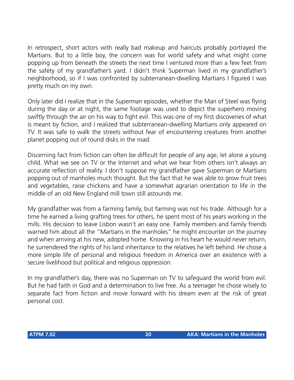In retrospect, short actors with really bad makeup and haircuts probably portrayed the Martians. But to a little boy, the concern was for world safety and what might come popping up from beneath the streets the next time I ventured more than a few feet from the safety of my grandfather's yard. I didn't think Superman lived in my grandfather's neighborhood, so if I was confronted by subterranean-dwelling Martians I figured I was pretty much on my own.

Only later did I realize that in the *Superman* episodes, whether the Man of Steel was flying during the day or at night, the same footage was used to depict the superhero moving swiftly through the air on his way to fight evil. This was one of my first discoveries of what is meant by fiction, and I realized that subterranean-dwelling Martians only appeared on TV. It was safe to walk the streets without fear of encountering creatures from another planet popping out of round disks in the road.

Discerning fact from fiction can often be difficult for people of any age, let alone a young child. What we see on TV or the Internet and what we hear from others isn't always an accurate reflection of reality. I don't suppose my grandfather gave Superman or Martians popping out of manholes much thought. But the fact that he was able to grow fruit trees and vegetables, raise chickens and have a somewhat agrarian orientation to life in the middle of an old New England mill town still astounds me.

My grandfather was from a farming family, but farming was not his trade. Although for a time he earned a living grafting trees for others, he spent most of his years working in the mills. His decision to leave Lisbon wasn't an easy one. Family members and family friends warned him about all the "Martians in the manholes" he might encounter on the journey and when arriving at his new, adopted home. Knowing in his heart he would never return, he surrendered the rights of his land inheritance to the relatives he left behind. He chose a more simple life of personal and religious freedom in America over an existence with a secure livelihood but political and religious oppression.

In my grandfather's day, there was no Superman on TV to safeguard the world from evil. But he had faith in God and a determination to live free. As a teenager he chose wisely to separate fact from fiction and move forward with his dream even at the risk of great personal cost.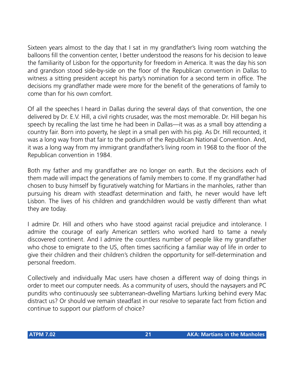Sixteen years almost to the day that I sat in my grandfather's living room watching the balloons fill the convention center, I better understood the reasons for his decision to leave the familiarity of Lisbon for the opportunity for freedom in America. It was the day his son and grandson stood side-by-side on the floor of the Republican convention in Dallas to witness a sitting president accept his party's nomination for a second term in office. The decisions my grandfather made were more for the benefit of the generations of family to come than for his own comfort.

Of all the speeches I heard in Dallas during the several days of that convention, the one delivered by Dr. E.V. Hill, a civil rights crusader, was the most memorable. Dr. Hill began his speech by recalling the last time he had been in Dallas—it was as a small boy attending a country fair. Born into poverty, he slept in a small pen with his pig. As Dr. Hill recounted, it was a long way from that fair to the podium of the Republican National Convention. And, it was a long way from my immigrant grandfather's living room in 1968 to the floor of the Republican convention in 1984.

Both my father and my grandfather are no longer on earth. But the decisions each of them made will impact the generations of family members to come. If my grandfather had chosen to busy himself by figuratively watching for Martians in the manholes, rather than pursuing his dream with steadfast determination and faith, he never would have left Lisbon. The lives of his children and grandchildren would be vastly different than what they are today.

I admire Dr. Hill and others who have stood against racial prejudice and intolerance. I admire the courage of early American settlers who worked hard to tame a newly discovered continent. And I admire the countless number of people like my grandfather who chose to emigrate to the US, often times sacrificing a familiar way of life in order to give their children and their children's children the opportunity for self-determination and personal freedom.

Collectively and individually Mac users have chosen a different way of doing things in order to meet our computer needs. As a community of users, should the naysayers and PC pundits who continuously see subterranean-dwelling Martians lurking behind every Mac distract us? Or should we remain steadfast in our resolve to separate fact from fiction and continue to support our platform of choice?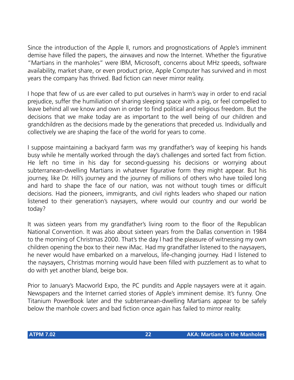Since the introduction of the Apple II, rumors and prognostications of Apple's imminent demise have filled the papers, the airwaves and now the Internet. Whether the figurative "Martians in the manholes" were IBM, Microsoft, concerns about MHz speeds, software availability, market share, or even product price, Apple Computer has survived and in most years the company has thrived. Bad fiction can never mirror reality.

I hope that few of us are ever called to put ourselves in harm's way in order to end racial prejudice, suffer the humiliation of sharing sleeping space with a pig, or feel compelled to leave behind all we know and own in order to find political and religious freedom. But the decisions that we make today are as important to the well being of our children and grandchildren as the decisions made by the generations that preceded us. Individually and collectively we are shaping the face of the world for years to come.

I suppose maintaining a backyard farm was my grandfather's way of keeping his hands busy while he mentally worked through the day's challenges and sorted fact from fiction. He left no time in his day for second-guessing his decisions or worrying about subterranean-dwelling Martians in whatever figurative form they might appear. But his journey, like Dr. Hill's journey and the journey of millions of others who have toiled long and hard to shape the face of our nation, was not without tough times or difficult decisions. Had the pioneers, immigrants, and civil rights leaders who shaped our nation listened to their generation's naysayers, where would our country and our world be today?

It was sixteen years from my grandfather's living room to the floor of the Republican National Convention. It was also about sixteen years from the Dallas convention in 1984 to the morning of Christmas 2000. That's the day I had the pleasure of witnessing my own children opening the box to their new iMac. Had my grandfather listened to the naysayers, he never would have embarked on a marvelous, life-changing journey. Had I listened to the naysayers, Christmas morning would have been filled with puzzlement as to what to do with yet another bland, beige box.

Prior to January's Macworld Expo, the PC pundits and Apple naysayers were at it again. Newspapers and the Internet carried stories of Apple's imminent demise. It's funny. One Titanium PowerBook later and the subterranean-dwelling Martians appear to be safely below the manhole covers and bad fiction once again has failed to mirror reality.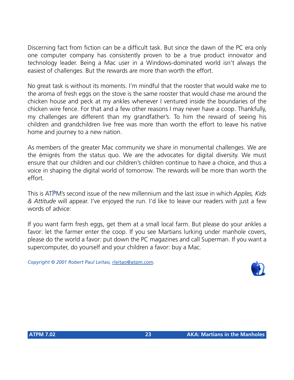Discerning fact from fiction can be a difficult task. But since the dawn of the PC era only one computer company has consistently proven to be a true product innovator and technology leader. Being a Mac user in a Windows-dominated world isn't always the easiest of challenges. But the rewards are more than worth the effort.

No great task is without its moments. I'm mindful that the rooster that would wake me to the aroma of fresh eggs on the stove is the same rooster that would chase me around the chicken house and peck at my ankles whenever I ventured inside the boundaries of the chicken wire fence. For that and a few other reasons I may never have a coop. Thankfully, my challenges are different than my grandfather's. To him the reward of seeing his children and grandchildren live free was more than worth the effort to leave his native home and journey to a new nation.

As members of the greater Mac community we share in monumental challenges. We are the émigrés from the status quo. We are the advocates for digital diversity. We must ensure that our children and our children's children continue to have a choice, and thus a voice in shaping the digital world of tomorrow. The rewards will be more than worth the effort.

This is ATPM's second issue of the new millennium and the last issue in which *Apples, Kids & Attitude* will appear. I've enjoyed the run. I'd like to leave our readers with just a few words of advice:

If you want farm fresh eggs, get them at a small local farm. But please do your ankles a favor: let the farmer enter the coop. If you see Martians lurking under manhole covers, please do the world a favor: put down the PC magazines and call Superman. If you want a supercomputer, do yourself and your children a favor: buy a Mac.

*Copyright © 2001 Robert Paul Leitao,* [rleitao@atpm.com](mailto:rleitao@atpm.com)*.*

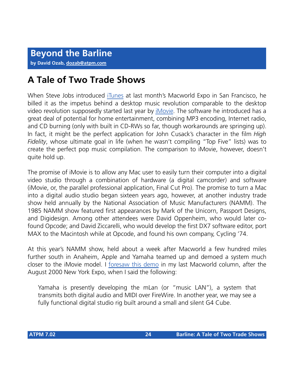## **A Tale of Two Trade Shows**

When Steve Jobs introduced [iTunes](http://www.atpm.com/7.02/itunes.shtml) at last month's Macworld Expo in San Francisco, he billed it as the impetus behind a desktop music revolution comparable to the desktop video revolution supposedly started last year by [iMovie.](http://www.atpm.com/6.06/imovie.shtml) The software he introduced has a great deal of potential for home entertainment, combining MP3 encoding, Internet radio, and CD burning (only with built in CD-RWs so far, though workarounds are springing up). In fact, it might be the perfect application for John Cusack's character in the film *High Fidelity*, whose ultimate goal in life (when he wasn't compiling "Top Five" lists) was to create the perfect pop music compilation. The comparison to iMovie, however, doesn't quite hold up.

The promise of iMovie is to allow any Mac user to easily turn their computer into a digital video studio through a combination of hardware (a digital camcorder) and software (iMovie, or, the parallel professional application, Final Cut Pro). The promise to turn a Mac into a digital audio studio began sixteen years ago, however, at another industry trade show held annually by the National Association of Music Manufacturers (NAMM). The 1985 NAMM show featured first appearances by Mark of the Unicorn, Passport Designs, and Digidesign. Among other attendees were David Oppenheim, who would later cofound Opcode; and David Ziccarelli, who would develop the first DX7 software editor, port MAX to the Macintosh while at Opcode, and found his own company, Cycling '74.

At this year's NAMM show, held about a week after Macworld a few hundred miles further south in Anaheim, Apple and Yamaha teamed up and demoed a system much closer to the iMovie model. I [foresaw this demo](http://www.atpm.com/6.08/barline.shtml) in my last Macworld column, after the August 2000 New York Expo, when I said the following:

Yamaha is presently developing the mLan (or "music LAN"), a system that transmits both digital audio and MIDI over FireWire. In another year, we may see a fully functional digital studio rig built around a small and silent G4 Cube.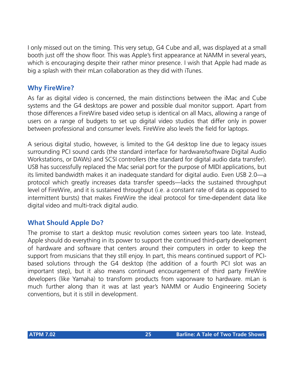I only missed out on the timing. This very setup, G4 Cube and all, was displayed at a small booth just off the show floor. This was Apple's first appearance at NAMM in several years, which is encouraging despite their rather minor presence. I wish that Apple had made as big a splash with their mLan collaboration as they did with iTunes.

## **Why FireWire?**

As far as digital video is concerned, the main distinctions between the iMac and Cube systems and the G4 desktops are power and possible dual monitor support. Apart from those differences a FireWire based video setup is identical on all Macs, allowing a range of users on a range of budgets to set up digital video studios that differ only in power between professional and consumer levels. FireWire also levels the field for laptops.

A serious digital studio, however, is limited to the G4 desktop line due to legacy issues surrounding PCI sound cards (the standard interface for hardware/software Digital Audio Workstations, or DAWs) and SCSI controllers (the standard for digital audio data transfer). USB has successfully replaced the Mac serial port for the purpose of MIDI applications, but its limited bandwidth makes it an inadequate standard for digital audio. Even USB 2.0—a protocol which greatly increases data transfer speeds—lacks the sustained throughput level of FireWire, and it is sustained throughput (i.e. a constant rate of data as opposed to intermittent bursts) that makes FireWire the ideal protocol for time-dependent data like digital video and multi-track digital audio.

## **What Should Apple Do?**

The promise to start a desktop music revolution comes sixteen years too late. Instead, Apple should do everything in its power to support the continued third-party development of hardware and software that centers around their computers in order to keep the support from musicians that they still enjoy. In part, this means continued support of PCIbased solutions through the G4 desktop (the addition of a fourth PCI slot was an important step), but it also means continued encouragement of third party FireWire developers (like Yamaha) to transform products from vaporware to hardware. mLan is much further along than it was at last year's NAMM or Audio Engineering Society conventions, but it is still in development.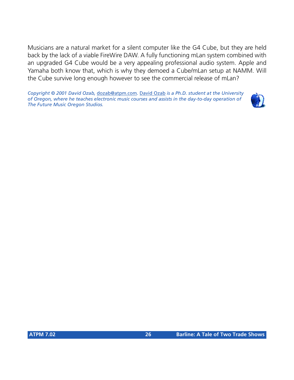Musicians are a natural market for a silent computer like the G4 Cube, but they are held back by the lack of a viable FireWire DAW. A fully functioning mLan system combined with an upgraded G4 Cube would be a very appealing professional audio system. Apple and Yamaha both know that, which is why they demoed a Cube/mLan setup at NAMM. Will the Cube survive long enough however to see the commercial release of mLan?

*Copyright © 2001 David Ozab,* [dozab@atpm.com](mailto:dozab@atpm.com)*.* [David Ozab](http://darkwing.uoregon.edu/%7Edlo) *is a Ph.D. student at the University of Oregon, where he teaches electronic music courses and assists in the day-to-day operation of The Future Music Oregon Studios.*

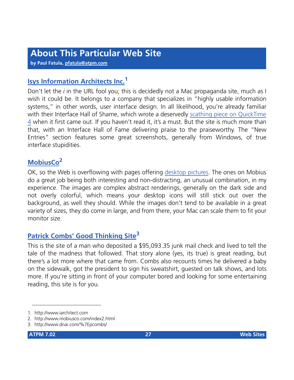**by Paul Fatula, [pfatula@atpm.com](mailto:pfatula@atpm.com)**

## **[Isys Information Architects Inc.](http://www.iarchitect.com)<sup>1</sup>**

Don't let the *i* in the URL fool you; this is decidedly not a Mac propaganda site, much as I wish it could be. It belongs to a company that specializes in "highly usable information systems," in other words, user interface design. In all likelihood, you're already familiar with their Interface Hall of Shame, which wrote a deservedly [scathing piece on QuickTime](http://www.iarchitect.com/qtime.htm) [4](http://www.iarchitect.com/qtime.htm) when it first came out. If you haven't read it, it's a must. But the site is much more than that, with an Interface Hall of Fame delivering praise to the praiseworthy. The "New Entries" section features some great screenshots, generally from Windows, of true interface stupidities.

## **[MobiusCo](http://www.mobiusco.com/index2.html)<sup>2</sup>**

OK, so the Web is overflowing with pages offering [desktop pictures.](http://www.atpm.com/mobius/) The ones on Mobius do a great job being both interesting and non-distracting, an unusual combination, in my experience. The images are complex abstract renderings, generally on the dark side and not overly colorful, which means your desktop icons will still stick out over the background, as well they should. While the images don't tend to be available in a great variety of sizes, they do come in large, and from there, your Mac can scale them to fit your monitor size.

## **[Patrick Combs' Good Thinking Site](http://www.dnai.com/%7Epcombs/)<sup>3</sup>**

This is the site of a man who deposited a \$95,093.35 junk mail check and lived to tell the tale of the madness that followed. That story alone (yes, its true) is great reading, but there's a lot more where that came from. Combs also recounts times he delivered a baby on the sidewalk, got the president to sign his sweatshirt, guested on talk shows, and lots more. If you're sitting in front of your computer bored and looking for some entertaining reading, this site is for you.

<sup>1.</sup> http://www.iarchitect.com

<sup>2.</sup> http://www.mobiusco.com/index2.html

<sup>3.</sup> http://www.dnai.com/%7Epcombs/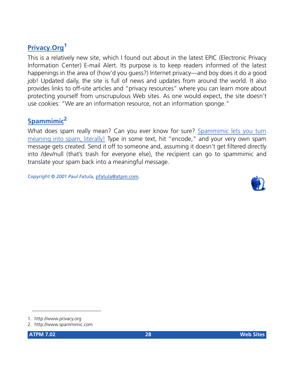## **[Privacy.Org](http://www.privacy.org)<sup>1</sup>**

This is a relatively new site, which I found out about in the latest EPIC (Electronic Privacy Information Center) E-mail Alert. Its purpose is to keep readers informed of the latest happenings in the area of (how'd you guess?) Internet privacy—and boy does it do a good job! Updated daily, the site is full of news and updates from around the world. It also provides links to off-site articles and "privacy resources" where you can learn more about protecting yourself from unscrupulous Web sites. As one would expect, the site doesn't use cookies: "We are an information resource, not an information sponge."

## **[Spammimic](http://www.spammimic.com)<sup>2</sup>**

What does spam really mean? Can you ever know for sure? [Spammimic lets you turn](http://www.atpm.com/7.02/spam.shtml) [meaning into spam, literally!](http://www.atpm.com/7.02/spam.shtml) Type in some text, hit "encode," and your very own spam message gets created. Send it off to someone and, assuming it doesn't get filtered directly into /dev/null (that's trash for everyone else), the recipient can go to spammimic and translate your spam back into a meaningful message.

*Copyright © 2001 Paul Fatula,* [pfatula@atpm.com](mailto:pfatula@atpm.com)*.*



<sup>1.</sup> http://www.privacy.org

<sup>2.</sup> http://www.spammimic.com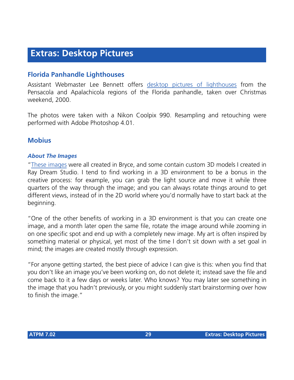## **Extras: Desktop Pictures**

## **Florida Panhandle Lighthouses**

Assistant Webmaster Lee Bennett offers [desktop pictures of lighthouses](http://www.atpm.com/7.02/lighthouses/) from the Pensacola and Apalachicola regions of the Florida panhandle, taken over Christmas weekend, 2000.

The photos were taken with a Nikon Coolpix 990. Resampling and retouching were performed with Adobe Photoshop 4.01.

## **Mobius**

#### *About The Images*

"[These images](http://www.atpm.com/7.02/mobius/) were all created in Bryce, and some contain custom 3D models I created in Ray Dream Studio. I tend to find working in a 3D environment to be a bonus in the creative process: for example, you can grab the light source and move it while three quarters of the way through the image; and you can always rotate things around to get different views, instead of in the 2D world where you'd normally have to start back at the beginning.

"One of the other benefits of working in a 3D environment is that you can create one image, and a month later open the same file, rotate the image around while zooming in on one specific spot and end up with a completely new image. My art is often inspired by something material or physical, yet most of the time I don't sit down with a set goal in mind; the images are created mostly through expression.

"For anyone getting started, the best piece of advice I can give is this: when you find that you don't like an image you've been working on, do not delete it; instead save the file and come back to it a few days or weeks later. Who knows? You may later see something in the image that you hadn't previously, or you might suddenly start brainstorming over how to finish the image."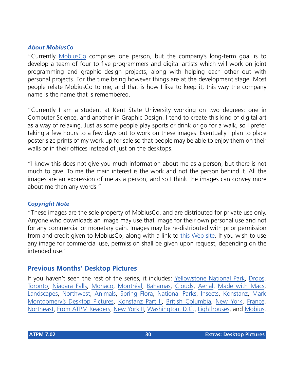#### *About MobiusCo*

"Currently [MobiusCo](http://www.mobiusco.com) comprises one person, but the company's long-term goal is to develop a team of four to five programmers and digital artists which will work on joint programming and graphic design projects, along with helping each other out with personal projects. For the time being however things are at the development stage. Most people relate MobiusCo to me, and that is how I like to keep it; this way the company name is the name that is remembered.

"Currently I am a student at Kent State University working on two degrees: one in Computer Science, and another in Graphic Design. I tend to create this kind of digital art as a way of relaxing. Just as some people play sports or drink or go for a walk, so I prefer taking a few hours to a few days out to work on these images. Eventually I plan to place poster size prints of my work up for sale so that people may be able to enjoy them on their walls or in their offices instead of just on the desktops.

"I know this does not give you much information about me as a person, but there is not much to give. To me the main interest is the work and not the person behind it. All the images are an expression of me as a person, and so I think the images can convey more about me then any words."

#### *Copyright Note*

"These images are the sole property of MobiusCo, and are distributed for private use only. Anyone who downloads an image may use that image for their own personal use and not for any commercial or monetary gain. Images may be re-distributed with prior permission from and credit given to MobiusCo, along with a link to [this Web site](http://www.mobiusco.com). If you wish to use any image for commercial use, permission shall be given upon request, depending on the intended use."

## **Previous Months' Desktop Pictures**

If you haven't seen the rest of the series, it includes: [Yellowstone National Park,](http://www.atpm.com/5.03/yellowstone.shtml) [Drops,](http://www.atpm.com/5.05/drops/) [Toronto,](http://www.atpm.com/5.07/toronto/) [Niagara Falls](http://www.atpm.com/5.08/niagara/), [Monaco,](http://www.atpm.com/5.09/monaco/) [Montréal,](http://www.atpm.com/5.10/montreal/) [Bahamas](http://www.atpm.com/5.11/bahamas/), [Clouds](http://www.atpm.com/5.12/clouds/), [Aerial](http://www.atpm.com/6.01/aerial/), [Made with Macs,](http://www.atpm.com/6.02/madewithmacs/) [Landscapes](http://www.atpm.com/6.03/landscapes/), [Northwest,](http://www.atpm.com/6.04/northwest/) [Animals](http://www.atpm.com/6.05/animals/), [Spring Flora,](http://www.atpm.com/6.06/spring-flora/) [National Parks](http://www.atpm.com/6.07/national-parks/), [Insects](http://www.atpm.com/6.08/insects/), [Konstanz](http://www.atpm.com/6.08/konstanz/), [Mark](http://www.atpm.com/6.09/montgomery/) [Montgomery's Desktop Pictures,](http://www.atpm.com/6.09/montgomery/) [Konstanz Part II,](http://www.atpm.com/6.09/konstanz) [British Columbia,](http://www.atpm.com/6.10/british-columbia/) [New York](http://www.atpm.com/6.10/new-york/), [France,](http://www.atpm.com/6.11/france/) [Northeast,](http://www.atpm.com/6.11/northeast/) [From ATPM Readers,](http://www.atpm.com/6.12/from-atpm-readers/) [New York II,](http://www.atpm.com/7.01/new-york-ii/) [Washington, D.C.](http://www.atpm.com/7.01/washington-dc/), [Lighthouses,](http://www.atpm.com/7.02/lighthouses/) and [Mobius.](http://www.atpm.com/7.02/mobius/)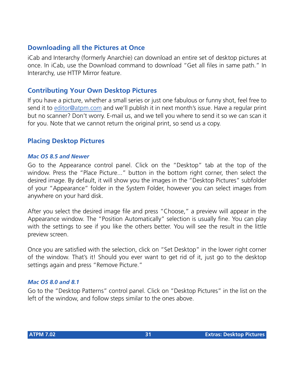## **Downloading all the Pictures at Once**

iCab and Interarchy (formerly Anarchie) can download an entire set of desktop pictures at once. In iCab, use the Download command to download "Get all files in same path." In Interarchy, use HTTP Mirror feature.

## **Contributing Your Own Desktop Pictures**

If you have a picture, whether a small series or just one fabulous or funny shot, feel free to send it to [editor@atpm.com](mailto:editor@atpm.com) and we'll publish it in next month's issue. Have a regular print but no scanner? Don't worry. E-mail us, and we tell you where to send it so we can scan it for you. Note that we cannot return the original print, so send us a copy.

## **Placing Desktop Pictures**

#### *Mac OS 8.5 and Newer*

Go to the Appearance control panel. Click on the "Desktop" tab at the top of the window. Press the "Place Picture..." button in the bottom right corner, then select the desired image. By default, it will show you the images in the "Desktop Pictures" subfolder of your "Appearance" folder in the System Folder, however you can select images from anywhere on your hard disk.

After you select the desired image file and press "Choose," a preview will appear in the Appearance window. The "Position Automatically" selection is usually fine. You can play with the settings to see if you like the others better. You will see the result in the little preview screen.

Once you are satisfied with the selection, click on "Set Desktop" in the lower right corner of the window. That's it! Should you ever want to get rid of it, just go to the desktop settings again and press "Remove Picture."

#### *Mac OS 8.0 and 8.1*

Go to the "Desktop Patterns" control panel. Click on "Desktop Pictures" in the list on the left of the window, and follow steps similar to the ones above.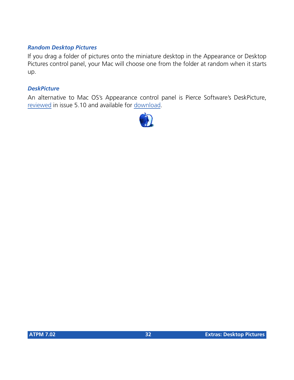#### *Random Desktop Pictures*

If you drag a folder of pictures onto the miniature desktop in the Appearance or Desktop Pictures control panel, your Mac will choose one from the folder at random when it starts up.

#### *DeskPicture*

An alternative to Mac OS's Appearance control panel is Pierce Software's DeskPicture, [reviewed](http://www.atpm.com/5.10/roundup.shtml) in issue 5.10 and available for [download](http://www.peircesw.com/DeskPicture.html).

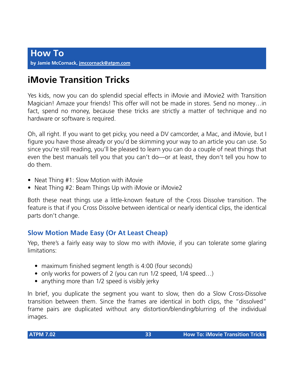## **iMovie Transition Tricks**

Yes kids, now you can do splendid special effects in iMovie and iMovie2 with Transition Magician! Amaze your friends! This offer will not be made in stores. Send no money…in fact, spend no money, because these tricks are strictly a matter of technique and no hardware or software is required.

Oh, all right. If you want to get picky, you need a DV camcorder, a Mac, and iMovie, but I figure you have those already or you'd be skimming your way to an article you can use. So since you're still reading, you'll be pleased to learn you can do a couple of neat things that even the best manuals tell you that you can't do—or at least, they don't tell you how to do them.

- Neat Thing #1: Slow Motion with iMovie
- Neat Thing #2: Beam Things Up with iMovie or iMovie2

Both these neat things use a little-known feature of the Cross Dissolve transition. The feature is that if you Cross Dissolve between identical or nearly identical clips, the identical parts don't change.

## **Slow Motion Made Easy (Or At Least Cheap)**

Yep, there's a fairly easy way to slow mo with iMovie, if you can tolerate some glaring limitations:

- maximum finished segment length is 4:00 (four seconds)
- only works for powers of 2 (you can run 1/2 speed, 1/4 speed…)
- anything more than 1/2 speed is visibly jerky

In brief, you duplicate the segment you want to slow, then do a Slow Cross-Dissolve transition between them. Since the frames are identical in both clips, the "dissolved" frame pairs are duplicated without any distortion/blending/blurring of the individual images.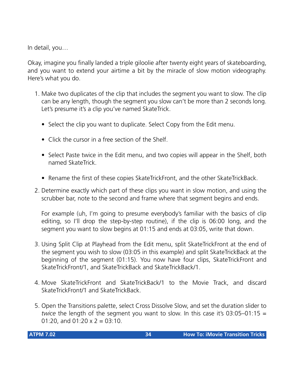In detail, you…

Okay, imagine you finally landed a triple giloolie after twenty eight years of skateboarding, and you want to extend your airtime a bit by the miracle of slow motion videography. Here's what you do.

- 1. Make two duplicates of the clip that includes the segment you want to slow. The clip can be any length, though the segment you slow can't be more than 2 seconds long. Let's presume it's a clip you've named SkateTrick.
	- Select the clip you want to duplicate. Select Copy from the Edit menu.
	- Click the cursor in a free section of the Shelf.
	- Select Paste twice in the Edit menu, and two copies will appear in the Shelf, both named SkateTrick.
	- Rename the first of these copies SkateTrickFront, and the other SkateTrickBack.
- 2. Determine exactly which part of these clips you want in slow motion, and using the scrubber bar, note to the second and frame where that segment begins and ends.

For example (uh, I'm going to presume everybody's familiar with the basics of clip editing, so I'll drop the step-by-step routine), if the clip is 06:00 long, and the segment you want to slow begins at 01:15 and ends at 03:05, write that down.

- 3. Using Split Clip at Playhead from the Edit menu, split SkateTrickFront at the end of the segment you wish to slow (03:05 in this example) and split SkateTrickBack at the beginning of the segment (01:15). You now have four clips, SkateTrickFront and SkateTrickFront/1, and SkateTrickBack and SkateTrickBack/1.
- 4. Move SkateTrickFront and SkateTrickBack/1 to the Movie Track, and discard SkateTrickFront/1 and SkateTrickBack.
- 5. Open the Transitions palette, select Cross Dissolve Slow, and set the duration slider to *twice* the length of the segment you want to slow. In this case it's 03:05–01:15 = 01:20, and 01:20  $\times$  2 = 03:10.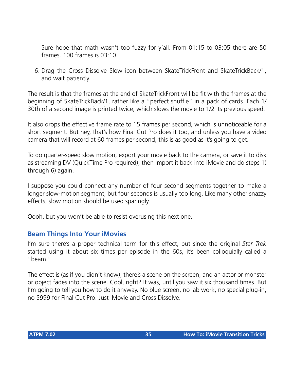Sure hope that math wasn't too fuzzy for y'all. From 01:15 to 03:05 there are 50 frames. 100 frames is 03:10.

6. Drag the Cross Dissolve Slow icon between SkateTrickFront and SkateTrickBack/1, and wait patiently.

The result is that the frames at the end of SkateTrickFront will be fit with the frames at the beginning of SkateTrickBack/1, rather like a "perfect shuffle" in a pack of cards. Each 1/ 30th of a second image is printed twice, which slows the movie to 1/2 its previous speed.

It also drops the effective frame rate to 15 frames per second, which is unnoticeable for a short segment. But hey, that's how Final Cut Pro does it too, and unless you have a video camera that will record at 60 frames per second, this is as good as it's going to get.

To do quarter-speed slow motion, export your movie back to the camera, or save it to disk as streaming DV (QuickTime Pro required), then Import it back into iMovie and do steps 1) through 6) again.

I suppose you could connect any number of four second segments together to make a longer slow-motion segment, but four seconds is usually too long. Like many other snazzy effects, slow motion should be used sparingly.

Oooh, but you won't be able to resist overusing this next one.

## **Beam Things Into Your iMovies**

I'm sure there's a proper technical term for this effect, but since the original *Star Trek* started using it about six times per episode in the 60s, it's been colloquially called a "beam."

The effect is (as if you didn't know), there's a scene on the screen, and an actor or monster or object fades into the scene. Cool, right? It was, until you saw it six thousand times. But I'm going to tell you how to do it anyway. No blue screen, no lab work, no special plug-in, no \$999 for Final Cut Pro. Just iMovie and Cross Dissolve.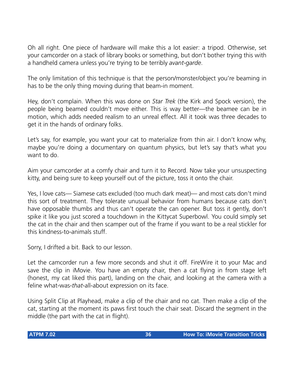Oh all right. One piece of hardware will make this a lot easier: a tripod. Otherwise, set your camcorder on a stack of library books or something, but don't bother trying this with a handheld camera unless you're trying to be terribly *avant-garde*.

The only limitation of this technique is that the person/monster/object you're beaming in has to be the only thing moving during that beam-in moment.

Hey, don't complain. When this was done on *Star Trek* (the Kirk and Spock version), the people being beamed couldn't move either. This is way better—the beamee can be in motion, which adds needed realism to an unreal effect. All it took was three decades to get it in the hands of ordinary folks.

Let's say, for example, you want your cat to materialize from thin air. I don't know why, maybe you're doing a documentary on quantum physics, but let's say that's what you want to do.

Aim your camcorder at a comfy chair and turn it to Record. Now take your unsuspecting kitty, and being sure to keep yourself out of the picture, toss it onto the chair.

Yes, I love cats— Siamese cats excluded (too much dark meat)— and most cats don't mind this sort of treatment. They tolerate unusual behavior from humans because cats don't have opposable thumbs and thus can't operate the can opener. But toss it gently, don't spike it like you just scored a touchdown in the Kittycat Superbowl. You could simply set the cat in the chair and then scamper out of the frame if you want to be a real stickler for this kindness-to-animals stuff.

Sorry, I drifted a bit. Back to our lesson.

Let the camcorder run a few more seconds and shut it off. FireWire it to your Mac and save the clip in iMovie. You have an empty chair, then a cat flying in from stage left (honest, my cat liked this part), landing on the chair, and looking at the camera with a feline what-was-*that*-all-about expression on its face.

Using Split Clip at Playhead, make a clip of the chair and no cat. Then make a clip of the cat, starting at the moment its paws first touch the chair seat. Discard the segment in the middle (the part with the cat in flight).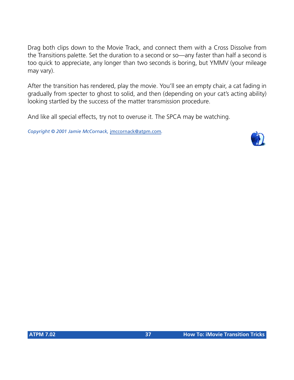Drag both clips down to the Movie Track, and connect them with a Cross Dissolve from the Transitions palette. Set the duration to a second or so—any faster than half a second is too quick to appreciate, any longer than two seconds is boring, but YMMV (your mileage may vary).

After the transition has rendered, play the movie. You'll see an empty chair, a cat fading in gradually from specter to ghost to solid, and then (depending on your cat's acting ability) looking startled by the success of the matter transmission procedure.

And like all special effects, try not to overuse it. The SPCA may be watching.

*Copyright © 2001 Jamie McCornack,* [jmccornack@atpm.com](mailto:jmccornack@atpm.com)*.*

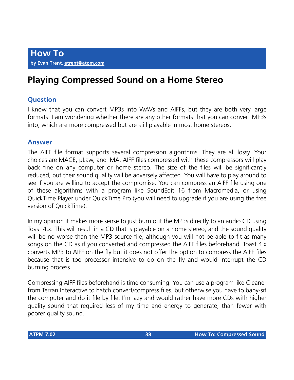**How To by Evan Trent, [etrent@atpm.com](mailto:mailto:etrent@atpm.com)**

## **Playing Compressed Sound on a Home Stereo**

#### **Question**

I know that you can convert MP3s into WAVs and AIFFs, but they are both very large formats. I am wondering whether there are any other formats that you can convert MP3s into, which are more compressed but are still playable in most home stereos.

#### **Answer**

The AIFF file format supports several compression algorithms. They are all lossy. Your choices are MACE, µLaw, and IMA. AIFF files compressed with these compressors will play back fine on any computer or home stereo. The size of the files will be significantly reduced, but their sound quality will be adversely affected. You will have to play around to see if you are willing to accept the compromise. You can compress an AIFF file using one of these algorithms with a program like SoundEdit 16 from Macromedia, or using QuickTime Player under QuickTime Pro (you will need to upgrade if you are using the free version of QuickTime).

In my opinion it makes more sense to just burn out the MP3s directly to an audio CD using Toast 4.x. This will result in a CD that is playable on a home stereo, and the sound quality will be no worse than the MP3 source file, although you will not be able to fit as many songs on the CD as if you converted and compressed the AIFF files beforehand. Toast 4.x converts MP3 to AIFF on the fly but it does not offer the option to compress the AIFF files because that is too processor intensive to do on the fly and would interrupt the CD burning process.

Compressing AIFF files beforehand is time consuming. You can use a program like Cleaner from Terran Interactive to batch convert/compress files, but otherwise you have to baby-sit the computer and do it file by file. I'm lazy and would rather have more CDs with higher quality sound that required less of my time and energy to generate, than fewer with poorer quality sound.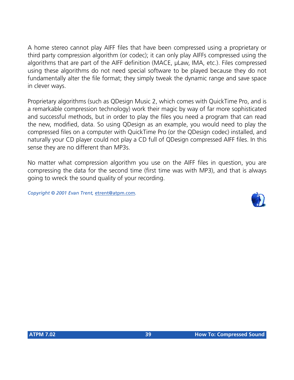A home stereo cannot play AIFF files that have been compressed using a proprietary or third party compression algorithm (or codec); it can only play AIFFs compressed using the algorithms that are part of the AIFF definition (MACE, µLaw, IMA, etc.). Files compressed using these algorithms do not need special software to be played because they do not fundamentally alter the file format; they simply tweak the dynamic range and save space in clever ways.

Proprietary algorithms (such as QDesign Music 2, which comes with QuickTime Pro, and is a remarkable compression technology) work their magic by way of far more sophisticated and successful methods, but in order to play the files you need a program that can read the new, modified, data. So using QDesign as an example, you would need to play the compressed files on a computer with QuickTime Pro (or the QDesign codec) installed, and naturally your CD player could not play a CD full of QDesign compressed AIFF files. In this sense they are no different than MP3s.

No matter what compression algorithm you use on the AIFF files in question, you are compressing the data for the second time (first time was with MP3), and that is always going to wreck the sound quality of your recording.

*Copyright © 2001 Evan Trent,* [etrent@atpm.com](mailto:etrent@atpm.com)*.*

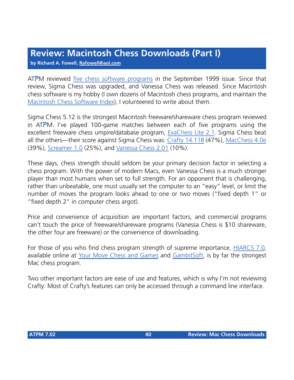## **Review: Macintosh Chess Downloads (Part I)**

**by Richard A. Fowell, [Rafowell@aol.com](mailto:Rafowell@aol.com)**

ATPM reviewed [five chess software programs](http://www.atpm.com/5.09/roundup.shtml) in the September 1999 issue. Since that review, Sigma Chess was upgraded, and Vanessa Chess was released. Since Macintosh chess software is my hobby (I own dozens of Macintosh chess programs, and maintain the [Macintosh Chess Software Index\)](http://dmoz.org/Games/Board_Games/C/Chess/Software/Macintosh/), I volunteered to write about them.

Sigma Chess 5.12 is the strongest Macintosh freeware/shareware chess program reviewed in ATPM. I've played 100-game matches between each of five programs using the excellent freeware chess umpire/database program, [ExaChess Lite 2.1.](http://www.exachess.com/) Sigma Chess beat all the others—their score against Sigma Chess was: [Crafty 14.11B](http://www.exachess.com/downloads.html#engines) (47%), [MacChess 4.0e](http://www.exachess.com/downloads.html#engines) (39%), [Screamer 1.0](http://www.exachess.com/downloads.html#engines) (25%), and [Vanessa Chess 2.01](http://www.schubert-it.de/vanessa/) (10%).

These days, chess strength should seldom be your primary decision factor in selecting a chess program. With the power of modern Macs, even Vanessa Chess is a much stronger player than most humans when set to full strength. For an opponent that is challenging, rather than unbeatable, one must usually set the computer to an "easy" level, or limit the number of moves the program looks ahead to one or two moves ("fixed depth 1" or "fixed depth 2" in computer chess argot).

Price and convenience of acquisition are important factors, and commercial programs can't touch the price of freeware/shareware programs (Vanessa Chess is \$10 shareware, the other four are freeware) or the convenience of downloading.

For those of you who find chess program strength of supreme importance, [HIARCS 7.0,](http://www.gambitsoft.com/chess/games/hiar6me.htm) available online at [Your Move Chess and Games](http://www.icdchess.com/cgi-bin/store.cgi?category=12) and [GambitSoft](http://www.gambitsoft.com/preise/preisee.htm), is by far the strongest Mac chess program.

Two other important factors are ease of use and features, which is why I'm not reviewing Crafty: Most of Crafty's features can only be accessed through a command line interface.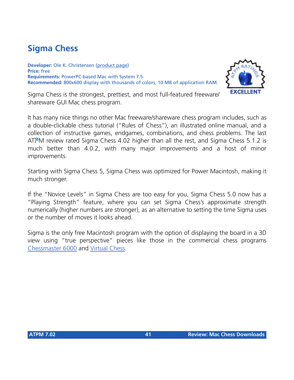## **Sigma Chess**

**Developer:** Ole K. Christensen ([product page](http://www.sigmachess.com/)) **Price:** free **Requirements:** PowerPC-based Mac with System 7.5. **Recommended:** 800x600 display with thousands of colors, 10 MB of application RAM.



Sigma Chess is the strongest, prettiest, and most full-featured freeware/ shareware GUI Mac chess program.

It has many nice things no other Mac freeware/shareware chess program includes, such as a double-clickable chess tutorial ("Rules of Chess"), an illustrated online manual, and a collection of instructive games, endgames, combinations, and chess problems. The last ATPM review rated Sigma Chess 4.02 higher than all the rest, and Sigma Chess 5.1.2 is much better than 4.0.2, with many major improvements and a host of minor improvements.

Starting with Sigma Chess 5, Sigma Chess was optimized for Power Macintosh, making it much stronger.

If the "Novice Levels" in Sigma Chess are too easy for you, Sigma Chess 5.0 now has a "Playing Strength" feature, where you can set Sigma Chess's approximate strength numerically (higher numbers are stronger), as an alternative to setting the time Sigma uses or the number of moves it looks ahead.

Sigma is the only free Macintosh program with the option of displaying the board in a 3D view using "true perspective" pieces like those in the commercial chess programs [Chessmaster 6000](http://www.chessmaster.com/features6000mac.html) and [Virtual Chess](http://www.digitalriver.com/dr/v2/ec_MAIN.Entry10?SP=10023&PN=1&V1=162817&xid=9564).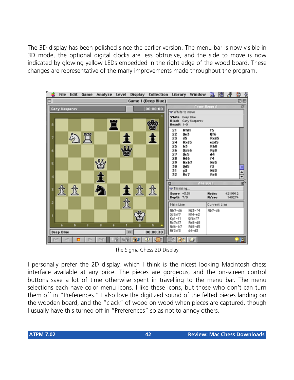The 3D display has been polished since the earlier version. The menu bar is now visible in 3D mode, the optional digital clocks are less obtrusive, and the side to move is now indicated by glowing yellow LEDs embedded in the right edge of the wood board. These changes are representative of the many improvements made throughout the program.



The Sigma Chess 2D Display

I personally prefer the 2D display, which I think is the nicest looking Macintosh chess interface available at any price. The pieces are gorgeous, and the on-screen control buttons save a lot of time otherwise spent in travelling to the menu bar. The menu selections each have color menu icons. I like these icons, but those who don't can turn them off in "Preferences." I also love the digitized sound of the felted pieces landing on the wooden board, and the "clack" of wood on wood when pieces are captured, though I usually have this turned off in "Preferences" so as not to annoy others.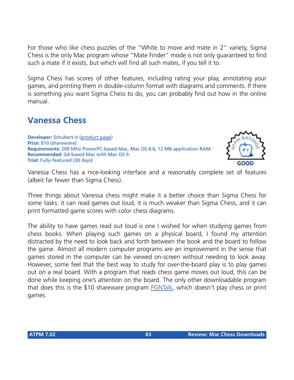For those who like chess puzzles of the "White to move and mate in 2" variety, Sigma Chess is the only Mac program whose "Mate Finder" mode is not only guaranteed to find such a mate if it exists, but which will find all such mates, if you tell it to.

Sigma Chess has scores of other features, including rating your play, annotating your games, and printing them in double-column format with diagrams and comments. If there is something you want Sigma Chess to do, you can probably find out how in the online manual.

## **Vanessa Chess**

**Developer:** Schubert-it ([product page](http://www.schubert-it.de/vanessa/)) **Price:** \$10 (shareware) **Requirements:** 200 MHz PowerPC-based Mac, Mac OS 8.6, 12 MB application RAM. **Recommended:** G4-based Mac with Mac OS 9. **Trial:** Fully-featured (30 days)



Vanessa Chess has a nice-looking interface and a reasonably complete set of features (albeit far fewer than Sigma Chess).

Three things about Vanessa chess might make it a better choice than Sigma Chess for some tasks: it can read games out loud, it is much weaker than Sigma Chess, and it can print formatted game scores with color chess diagrams.

The ability to have games read out loud is one I wished for when studying games from chess books. When playing such games on a physical board, I found my attention distracted by the need to look back and forth between the book and the board to follow the game. Almost all modern computer programs are an improvement in the sense that games stored in the computer can be viewed on-screen without needing to look away. However, some feel that the best way to study for over-the-board play is to play games out on a real board. With a program that reads chess game moves out loud, this can be done while keeping one's attention on the board. The only other downloadable program that does this is the \$10 shareware program [PGNTalk](http://www.rjen.com/Macintosh/PGNTalk.html), which doesn't play chess or print games.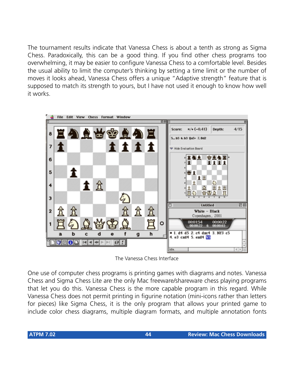The tournament results indicate that Vanessa Chess is about a tenth as strong as Sigma Chess. Paradoxically, this can be a good thing. If you find other chess programs too overwhelming, it may be easier to configure Vanessa Chess to a comfortable level. Besides the usual ability to limit the computer's thinking by setting a time limit or the number of moves it looks ahead, Vanessa Chess offers a unique "Adaptive strength" feature that is supposed to match its strength to yours, but I have not used it enough to know how well it works.



The Vanessa Chess Interface

One use of computer chess programs is printing games with diagrams and notes. Vanessa Chess and Sigma Chess Lite are the only Mac freeware/shareware chess playing programs that let you do this. Vanessa Chess is the more capable program in this regard. While Vanessa Chess does not permit printing in figurine notation (mini-icons rather than letters for pieces) like Sigma Chess, it is the only program that allows your printed game to include color chess diagrams, multiple diagram formats, and multiple annotation fonts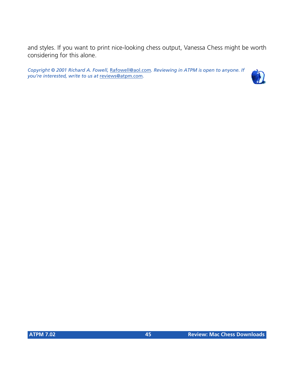and styles. If you want to print nice-looking chess output, Vanessa Chess might be worth considering for this alone.

*Copyright © 2001 Richard A. Fowell,* [Rafowell@aol.com](mailto:Rafowell@aol.com)*. Reviewing in ATPM is open to anyone. If you're interested, write to us at* [reviews@atpm.com](mailto:reviews@atpm.com)*.*

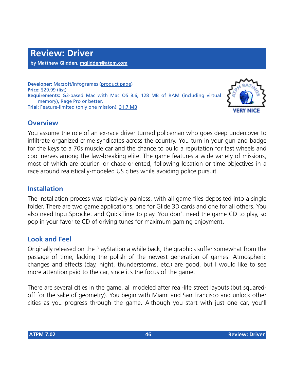**Developer:** Macsoft/Infogrames [\(product page](http://www.wizworks.com/macsoft/Driver/Driver.html)) **Price:** \$29.99 (list) **Requirements:** G3-based Mac with Mac OS 8.6, 128 MB of RAM (including virtual memory), Rage Pro or better. **Trial:** Feature-limited (only one mission), [31.7 MB](http://www.macgamefiles.com/detail.taf?item=14780)



#### **Overview**

You assume the role of an ex-race driver turned policeman who goes deep undercover to infiltrate organized crime syndicates across the country. You turn in your gun and badge for the keys to a 70s muscle car and the chance to build a reputation for fast wheels and cool nerves among the law-breaking elite. The game features a wide variety of missions, most of which are courier- or chase-oriented, following location or time objectives in a race around realistically-modeled US cities while avoiding police pursuit.

#### **Installation**

The installation process was relatively painless, with all game files deposited into a single folder. There are two game applications, one for Glide 3D cards and one for all others. You also need InputSprocket and QuickTime to play. You don't need the game CD to play, so pop in your favorite CD of driving tunes for maximum gaming enjoyment.

### **Look and Feel**

Originally released on the PlayStation a while back, the graphics suffer somewhat from the passage of time, lacking the polish of the newest generation of games. Atmospheric changes and effects (day, night, thunderstorms, etc.) are good, but I would like to see more attention paid to the car, since it's the focus of the game.

There are several cities in the game, all modeled after real-life street layouts (but squaredoff for the sake of geometry). You begin with Miami and San Francisco and unlock other cities as you progress through the game. Although you start with just one car, you'll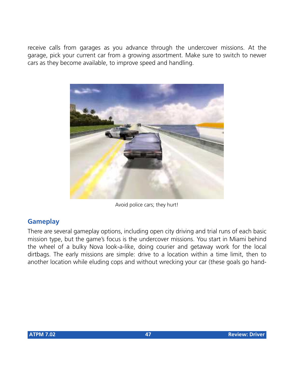receive calls from garages as you advance through the undercover missions. At the garage, pick your current car from a growing assortment. Make sure to switch to newer cars as they become available, to improve speed and handling.



Avoid police cars; they hurt!

## **Gameplay**

There are several gameplay options, including open city driving and trial runs of each basic mission type, but the game's focus is the undercover missions. You start in Miami behind the wheel of a bulky Nova look-a-like, doing courier and getaway work for the local dirtbags. The early missions are simple: drive to a location within a time limit, then to another location while eluding cops and without wrecking your car (these goals go hand-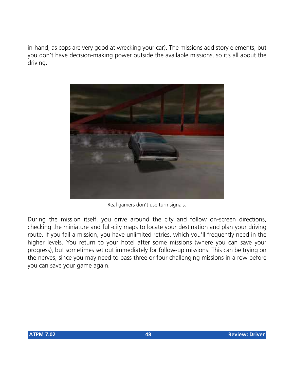in-hand, as cops are very good at wrecking your car). The missions add story elements, but you don't have decision-making power outside the available missions, so it's all about the driving.



Real gamers don't use turn signals.

During the mission itself, you drive around the city and follow on-screen directions, checking the miniature and full-city maps to locate your destination and plan your driving route. If you fail a mission, you have unlimited retries, which you'll frequently need in the higher levels. You return to your hotel after some missions (where you can save your progress), but sometimes set out immediately for follow-up missions. This can be trying on the nerves, since you may need to pass three or four challenging missions in a row before you can save your game again.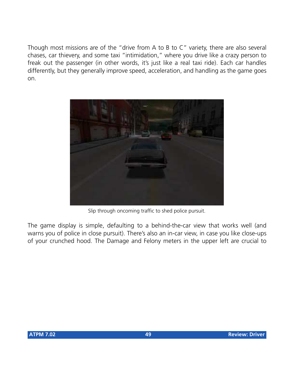Though most missions are of the "drive from A to B to C" variety, there are also several chases, car thievery, and some taxi "intimidation," where you drive like a crazy person to freak out the passenger (in other words, it's just like a real taxi ride). Each car handles differently, but they generally improve speed, acceleration, and handling as the game goes on.



Slip through oncoming traffic to shed police pursuit.

The game display is simple, defaulting to a behind-the-car view that works well (and warns you of police in close pursuit). There's also an in-car view, in case you like close-ups of your crunched hood. The Damage and Felony meters in the upper left are crucial to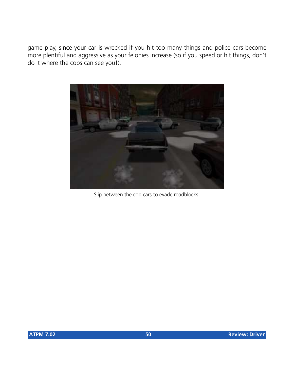game play, since your car is wrecked if you hit too many things and police cars become more plentiful and aggressive as your felonies increase (so if you speed or hit things, don't do it where the cops can see you!).



Slip between the cop cars to evade roadblocks.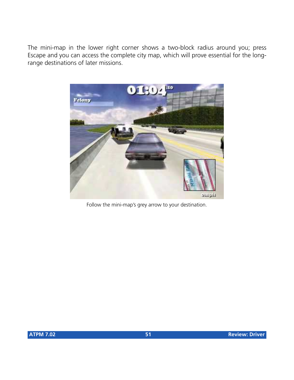The mini-map in the lower right corner shows a two-block radius around you; press Escape and you can access the complete city map, which will prove essential for the longrange destinations of later missions.



Follow the mini-map's grey arrow to your destination.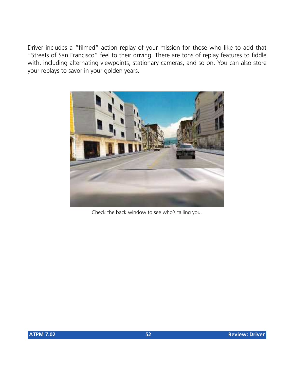Driver includes a "filmed" action replay of your mission for those who like to add that "Streets of San Francisco" feel to their driving. There are tons of replay features to fiddle with, including alternating viewpoints, stationary cameras, and so on. You can also store your replays to savor in your golden years.



Check the back window to see who's tailing you.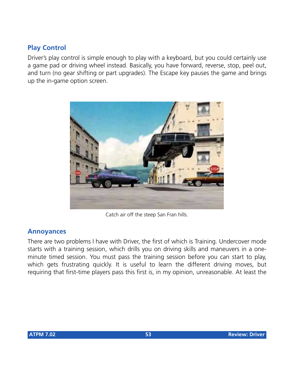#### **Play Control**

Driver's play control is simple enough to play with a keyboard, but you could certainly use a game pad or driving wheel instead. Basically, you have forward, reverse, stop, peel out, and turn (no gear shifting or part upgrades). The Escape key pauses the game and brings up the in-game option screen.



Catch air off the steep San Fran hills.

#### **Annoyances**

There are two problems I have with Driver, the first of which is Training. Undercover mode starts with a training session, which drills you on driving skills and maneuvers in a oneminute timed session. You must pass the training session before you can start to play, which gets frustrating quickly. It is useful to learn the different driving moves, but requiring that first-time players pass this first is, in my opinion, unreasonable. At least the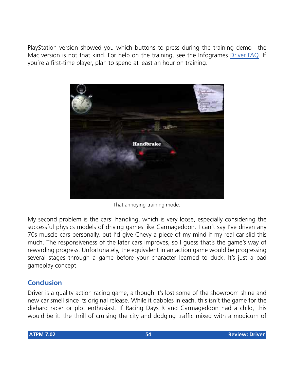PlayStation version showed you which buttons to press during the training demo—the Mac version is not that kind. For help on the training, see the Infogrames [Driver FAQ.](http://www.ina-support.com/faq/driverhints_mac.asp) If you're a first-time player, plan to spend at least an hour on training.



That annoying training mode.

My second problem is the cars' handling, which is very loose, especially considering the successful physics models of driving games like Carmageddon. I can't say I've driven any 70s muscle cars personally, but I'd give Chevy a piece of my mind if my real car slid this much. The responsiveness of the later cars improves, so I guess that's the game's way of rewarding progress. Unfortunately, the equivalent in an action game would be progressing several stages through a game before your character learned to duck. It's just a bad gameplay concept.

### **Conclusion**

Driver is a quality action racing game, although it's lost some of the showroom shine and new car smell since its original release. While it dabbles in each, this isn't the game for the diehard racer or plot enthusiast. If Racing Days R and Carmageddon had a child, this would be it: the thrill of cruising the city and dodging traffic mixed with a modicum of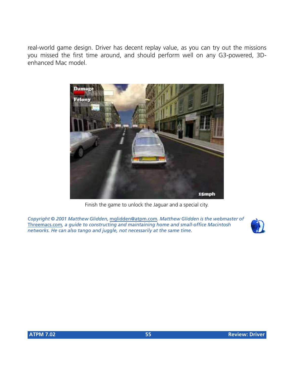real-world game design. Driver has decent replay value, as you can try out the missions you missed the first time around, and should perform well on any G3-powered, 3Denhanced Mac model.



Finish the game to unlock the Jaguar and a special city.

*Copyright © 2001 Matthew Glidden,* [mglidden@atpm.com](mailto:mglidden@atpm.com)*. Matthew Glidden is the webmaster of*  [Threemacs.com](http://www.threemacs.com)*, a guide to constructing and maintaining home and small-office Macintosh networks. He can also tango and juggle, not necessarily at the same time.*

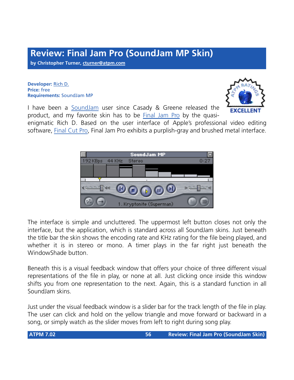# **Review: Final Jam Pro (SoundJam MP Skin)**

**by Christopher Turner, [cturner@atpm.com](mailto:cturner@atpm.com)**

**Developer:** [Rich D.](http://www.richd.com/skin/) **Price:** free **Requirements:** SoundJam MP



I have been a [SoundJam](http://www.atpm.com/6.10/soundjam.shtml) user since Casady & Greene released the product, and my favorite skin has to be [Final Jam Pro](http://www.richd.com/skin/) by the quasi-

enigmatic Rich D. Based on the user interface of Apple's professional video editing software, [Final Cut Pro,](http://www.apple.com/finalcutpro/) Final Jam Pro exhibits a purplish-gray and brushed metal interface.



The interface is simple and uncluttered. The uppermost left button closes not only the interface, but the application, which is standard across all SoundJam skins. Just beneath the title bar the skin shows the encoding rate and KHz rating for the file being played, and whether it is in stereo or mono. A timer plays in the far right just beneath the WindowShade button.

Beneath this is a visual feedback window that offers your choice of three different visual representations of the file in play, or none at all. Just clicking once inside this window shifts you from one representation to the next. Again, this is a standard function in all SoundJam skins.

Just under the visual feedback window is a slider bar for the track length of the file in play. The user can click and hold on the yellow triangle and move forward or backward in a song, or simply watch as the slider moves from left to right during song play.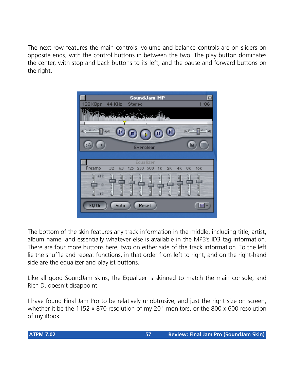The next row features the main controls: volume and balance controls are on sliders on opposite ends, with the control buttons in between the two. The play button dominates the center, with stop and back buttons to its left, and the pause and forward buttons on the right.



The bottom of the skin features any track information in the middle, including title, artist, album name, and essentially whatever else is available in the MP3's ID3 tag information. There are four more buttons here, two on either side of the track information. To the left lie the shuffle and repeat functions, in that order from left to right, and on the right-hand side are the equalizer and playlist buttons.

Like all good SoundJam skins, the Equalizer is skinned to match the main console, and Rich D. doesn't disappoint.

I have found Final Jam Pro to be relatively unobtrusive, and just the right size on screen, whether it be the 1152 x 870 resolution of my 20" monitors, or the 800 x 600 resolution of my iBook.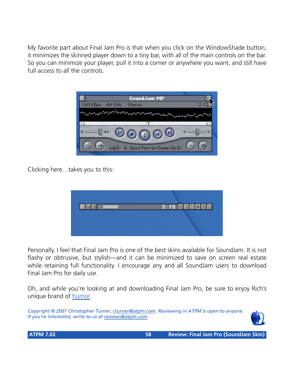My favorite part about Final Jam Pro is that when you click on the WindowShade button, it minimizes the skinned player down to a tiny bar, with all of the main controls on the bar. So you can minimize your player, pull it into a corner or anywhere you want, and still have full access to all the controls.



Clicking here…takes you to this:



Personally, I feel that Final Jam Pro is one of the best skins available for SoundJam. It is not flashy or obtrusive, but stylish—and it can be minimized to save on screen real estate while retaining full functionality. I encourage any and all SoundJam users to download Final Jam Pro for daily use.

Oh, and while you're looking at and downloading Final Jam Pro, be sure to enjoy Rich's unique brand of [humor](http://www.richd.com/poptart/).

*Copyright © 2001 Christopher Turner,* [cturner@atpm.com](mailto:cturner@atpm.com)*. Reviewing in ATPM is open to anyone. If you're interested, write to us at* [reviews@atpm.com](mailto:reviews@atpm.com)*.*

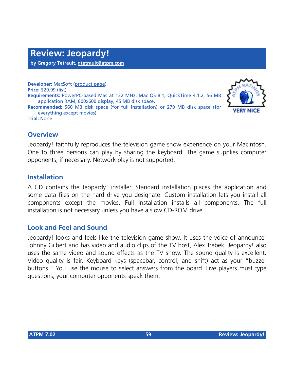**by Gregory Tetrault, [gtetrault@atpm.com](mailto:gtetrault@atpm.com)**

**Developer:** MacSoft ([product page\)](http://www.wizworks.com/macsoft/jeopardy/jeopardy.html) **Price:** \$29.99 (list) **Requirements:** PowerPC-based Mac at 132 MHz, Mac OS 8.1, QuickTime 4.1.2, 56 MB application RAM, 800x600 display, 45 MB disk space. **Recommended:** 560 MB disk space (for full installation) or 270 MB disk space (for everything except movies). **Trial:** None



#### **Overview**

Jeopardy! faithfully reproduces the television game show experience on your Macintosh. One to three persons can play by sharing the keyboard. The game supplies computer opponents, if necessary. Network play is not supported.

#### **Installation**

A CD contains the Jeopardy! installer. Standard installation places the application and some data files on the hard drive you designate. Custom installation lets you install all components except the movies. Full installation installs all components. The full installation is not necessary unless you have a slow CD-ROM drive.

#### **Look and Feel and Sound**

Jeopardy! looks and feels like the television game show. It uses the voice of announcer Johnny Gilbert and has video and audio clips of the TV host, Alex Trebek. Jeopardy! also uses the same video and sound effects as the TV show. The sound quality is excellent. Video quality is fair. Keyboard keys (spacebar, control, and shift) act as your "buzzer buttons." You use the mouse to select answers from the board. Live players must type questions; your computer opponents speak them.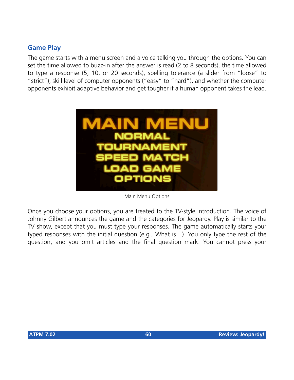### **Game Play**

The game starts with a menu screen and a voice talking you through the options. You can set the time allowed to buzz-in after the answer is read (2 to 8 seconds), the time allowed to type a response (5, 10, or 20 seconds), spelling tolerance (a slider from "loose" to "strict"), skill level of computer opponents ("easy" to "hard"), and whether the computer opponents exhibit adaptive behavior and get tougher if a human opponent takes the lead.



Main Menu Options

Once you choose your options, you are treated to the TV-style introduction. The voice of Johnny Gilbert announces the game and the categories for Jeopardy. Play is similar to the TV show, except that you must type your responses. The game automatically starts your typed responses with the initial question (e.g., What is…). You only type the rest of the question, and you omit articles and the final question mark. You cannot press your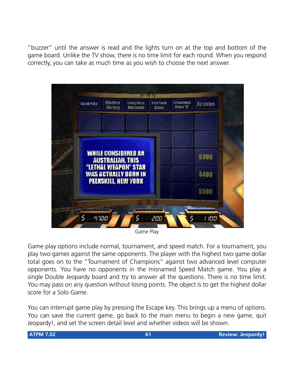"buzzer" until the answer is read and the lights turn on at the top and bottom of the game board. Unlike the TV show, there is no time limit for each round. When you respond correctly, you can take as much time as you wish to choose the next answer.



Game Play

Game play options include normal, tournament, and speed match. For a tournament, you play two games against the same opponents. The player with the highest two game dollar total goes on to the "Tournament of Champions" against two advanced level computer opponents. You have no opponents in the misnamed Speed Match game. You play a single Double Jeopardy board and try to answer all the questions. There is no time limit. You may pass on any question without losing points. The object is to get the highest dollar score for a Solo Game.

You can interrupt game play by pressing the Escape key. This brings up a menu of options. You can save the current game, go back to the main menu to begin a new game, quit Jeopardy!, and set the screen detail level and whether videos will be shown.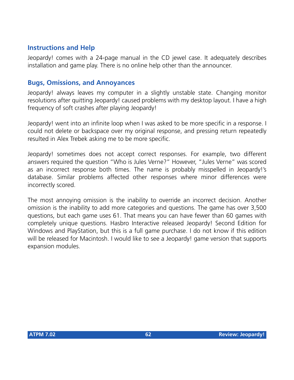### **Instructions and Help**

Jeopardy! comes with a 24-page manual in the CD jewel case. It adequately describes installation and game play. There is no online help other than the announcer.

#### **Bugs, Omissions, and Annoyances**

Jeopardy! always leaves my computer in a slightly unstable state. Changing monitor resolutions after quitting Jeopardy! caused problems with my desktop layout. I have a high frequency of soft crashes after playing Jeopardy!

Jeopardy! went into an infinite loop when I was asked to be more specific in a response. I could not delete or backspace over my original response, and pressing return repeatedly resulted in Alex Trebek asking me to be more specific.

Jeopardy! sometimes does not accept correct responses. For example, two different answers required the question "Who is Jules Verne?" However, "Jules Verne" was scored as an incorrect response both times. The name is probably misspelled in Jeopardy!'s database. Similar problems affected other responses where minor differences were incorrectly scored.

The most annoying omission is the inability to override an incorrect decision. Another omission is the inability to add more categories and questions. The game has over 3,500 questions, but each game uses 61. That means you can have fewer than 60 games with completely unique questions. Hasbro Interactive released Jeopardy! Second Edition for Windows and PlayStation, but this is a full game purchase. I do not know if this edition will be released for Macintosh. I would like to see a Jeopardy! game version that supports expansion modules.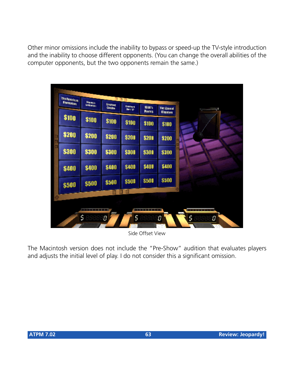Other minor omissions include the inability to bypass or speed-up the TV-style introduction and the inability to choose different opponents. (You can change the overall abilities of the computer opponents, but the two opponents remain the same.)

| <b>Insurancies</b> |               |                                 | TTD           |                      |                                        |                            |
|--------------------|---------------|---------------------------------|---------------|----------------------|----------------------------------------|----------------------------|
| <b>Rentalized</b>  | <b>Manufe</b> | <b>Gramed</b><br><b>Carcina</b> | <b>States</b> | 韓国%<br><b>Mortes</b> | <b>The Annual</b>                      | <b>Contract Contract C</b> |
| \$100              | \$100         | \$100                           | \$100         | \$100                | <b><i><u>DIGITIES</u></i></b><br>\$100 |                            |
| \$200              | \$200         | \$200                           | <b>\$200</b>  | \$201                | \$200                                  |                            |
| \$300              | \$300         | \$300                           | \$300         | \$300                | \$300                                  |                            |
| \$400              | \$400         | \$400                           | \$400         | \$400                | \$400                                  |                            |
| \$500              | \$500         | \$500                           | \$500         | \$500                | \$500                                  |                            |
|                    |               |                                 |               |                      |                                        |                            |

Side Offset View

The Macintosh version does not include the "Pre-Show" audition that evaluates players and adjusts the initial level of play. I do not consider this a significant omission.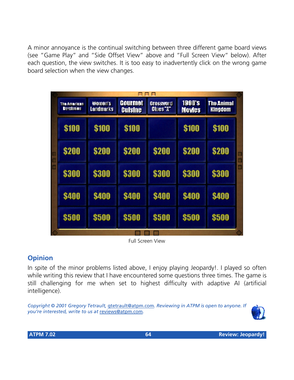A minor annoyance is the continual switching between three different game board views (see "Game Play" and "Side Offset View" above and "Full Screen View" below). After each question, the view switches. It is too easy to inadvertently click on the wrong game board selection when the view changes.

|  |                                   |                      | ooo                       |                                          |                                |                                     |        |
|--|-----------------------------------|----------------------|---------------------------|------------------------------------------|--------------------------------|-------------------------------------|--------|
|  | The American<br><b>Revolution</b> | Women's<br>Landmarks | Gourmet<br><b>Cuisine</b> | <b>Grossword</b><br>Clues <sup>-IT</sup> | <b>1990's</b><br><b>Movies</b> | <b>The Animal</b><br><b>Kingdom</b> |        |
|  | <b>\$100</b>                      | \$100                | <b>\$100</b>              |                                          | \$100                          | \$100                               |        |
|  | <b>\$200</b>                      | \$200                | <b>\$200</b>              | <b>\$200</b>                             | \$200                          | <b>\$200</b>                        | π<br>□ |
|  | \$300                             | \$300                | \$300                     | \$300                                    | \$300                          | \$300                               | □      |
|  | <b>\$400</b>                      | \$400                | <b>\$400</b>              | <b>\$400</b>                             | <b>\$400</b>                   | <b>\$400</b>                        |        |
|  | \$500                             | \$500                | \$500                     | \$500                                    | <b>\$500</b>                   | <b>\$500</b>                        |        |
|  |                                   |                      |                           |                                          |                                |                                     |        |

Full Screen View

## **Opinion**

In spite of the minor problems listed above, I enjoy playing Jeopardy!. I played so often while writing this review that I have encountered some questions three times. The game is still challenging for me when set to highest difficulty with adaptive AI (artificial intelligence).

*Copyright © 2001 Gregory Tetrault,* [gtetrault@atpm.com](mailto:gtetrault@atpm.com)*. Reviewing in ATPM is open to anyone. If you're interested, write to us at* [reviews@atpm.com](mailto:reviews@atpm.com)*.*

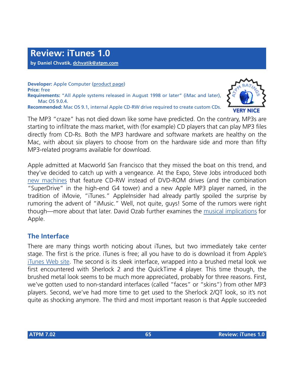**Developer:** Apple Computer ([product page\)](http://www.apple.com/itunes/) **Price:** free **Requirements:** "All Apple systems released in August 1998 or later" (iMac and later), Mac OS 9.0.4. **Recommended:** Mac OS 9.1, internal Apple CD-RW drive required to create custom CDs.

The MP3 "craze" has not died down like some have predicted. On the contrary, MP3s are starting to infiltrate the mass market, with (for example) CD players that can play MP3 files directly from CD-Rs. Both the MP3 hardware and software markets are healthy on the Mac, with about six players to choose from on the hardware side and more than fifty MP3-related programs available for download.

Apple admitted at Macworld San Francisco that they missed the boat on this trend, and they've decided to catch up with a vengeance. At the Expo, Steve Jobs introduced both [new machines](http://www.apple.com/powermac/) that feature CD-RW instead of DVD-ROM drives (and the combination "SuperDrive" in the high-end G4 tower) and a new Apple MP3 player named, in the tradition of iMovie, "iTunes." AppleInsider had already partly spoiled the surprise by rumoring the advent of "iMusic." Well, not quite, guys! Some of the rumors were right though—more about that later. David Ozab further examines the [musical implications](http://www.atpm.com/7.02/barline.shtml) for Apple.

## **The Interface**

There are many things worth noticing about iTunes, but two immediately take center stage. The first is the price. iTunes is free; all you have to do is download it from Apple's [iTunes Web site.](http://www.apple.com/itunes/) The second is its sleek interface, wrapped into a brushed metal look we first encountered with Sherlock 2 and the QuickTime 4 player. This time though, the brushed metal look seems to be much more appreciated, probably for three reasons. First, we've gotten used to non-standard interfaces (called "faces" or "skins") from other MP3 players. Second, we've had more time to get used to the Sherlock 2/QT look, so it's not quite as shocking anymore. The third and most important reason is that Apple succeeded

**VERY NICE**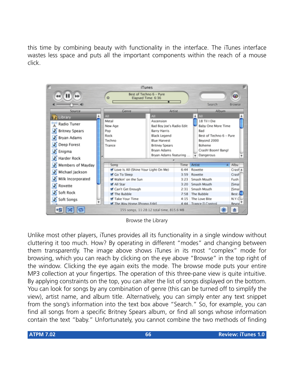this time by combining beauty with functionality in the interface. The iTunes interface wastes less space and puts all the important components within the reach of a mouse click.



Browse the Library

Unlike most other players, iTunes provides all its functionality in a single window without cluttering it too much. How? By operating in different "modes" and changing between them transparently. The image above shows iTunes in its most "complex" mode for browsing, which you can reach by clicking on the eye above "Browse" in the top right of the window. Clicking the eye again exits the mode. The browse mode puts your entire MP3 collection at your fingertips. The operation of this three-pane view is quite intuitive. By applying constraints on the top, you can alter the list of songs displayed on the bottom. You can look for songs by any combination of genre (this can be turned off to simplify the view), artist name, and album title. Alternatively, you can simply enter any text snippet from the song's information into the text box above "Search." So, for example, you can find all songs from a specific Britney Spears album, or find all songs whose information contain the text "baby." Unfortunately, you cannot combine the two methods of finding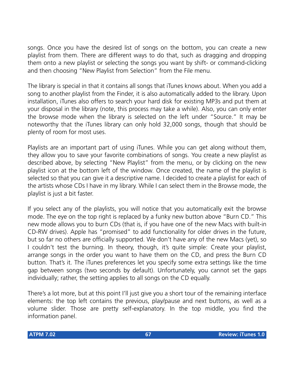songs. Once you have the desired list of songs on the bottom, you can create a new playlist from them. There are different ways to do that, such as dragging and dropping them onto a new playlist or selecting the songs you want by shift- or command-clicking and then choosing "New Playlist from Selection" from the File menu.

The library is special in that it contains all songs that iTunes knows about. When you add a song to another playlist from the Finder, it is also automatically added to the library. Upon installation, iTunes also offers to search your hard disk for existing MP3s and put them at your disposal in the library (note, this process may take a while). Also, you can only enter the browse mode when the library is selected on the left under "Source." It may be noteworthy that the iTunes library can only hold 32,000 songs, though that should be plenty of room for most uses.

Playlists are an important part of using iTunes. While you can get along without them, they allow you to save your favorite combinations of songs. You create a new playlist as described above, by selecting "New Playlist" from the menu, or by clicking on the new playlist icon at the bottom left of the window. Once created, the name of the playlist is selected so that you can give it a descriptive name. I decided to create a playlist for each of the artists whose CDs I have in my library. While I can select them in the Browse mode, the playlist is just a bit faster.

If you select any of the playlists, you will notice that you automatically exit the browse mode. The eye on the top right is replaced by a funky new button above "Burn CD." This new mode allows you to burn CDs (that is, if you have one of the new Macs with built-in CD-RW drives). Apple has "promised" to add functionality for older drives in the future, but so far no others are officially supported. We don't have any of the new Macs (yet), so I couldn't test the burning. In theory, though, it's quite simple: Create your playlist, arrange songs in the order you want to have them on the CD, and press the Burn CD button. That's it. The iTunes preferences let you specify some extra settings like the time gap between songs (two seconds by default). Unfortunately, you cannot set the gaps individually; rather, the setting applies to all songs on the CD equally.

There's a lot more, but at this point I'll just give you a short tour of the remaining interface elements: the top left contains the previous, play/pause and next buttons, as well as a volume slider. Those are pretty self-explanatory. In the top middle, you find the information panel.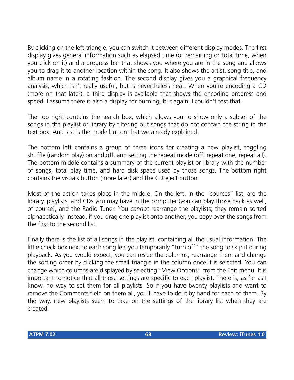By clicking on the left triangle, you can switch it between different display modes. The first display gives general information such as elapsed time (or remaining or total time, when you click on it) and a progress bar that shows you where you are in the song and allows you to drag it to another location within the song. It also shows the artist, song title, and album name in a rotating fashion. The second display gives you a graphical frequency analysis, which isn't really useful, but is nevertheless neat. When you're encoding a CD (more on that later), a third display is available that shows the encoding progress and speed. I assume there is also a display for burning, but again, I couldn't test that.

The top right contains the search box, which allows you to show only a subset of the songs in the playlist or library by filtering out songs that do not contain the string in the text box. And last is the mode button that we already explained.

The bottom left contains a group of three icons for creating a new playlist, toggling shuffle (random play) on and off, and setting the repeat mode (off, repeat one, repeat all). The bottom middle contains a summary of the current playlist or library with the number of songs, total play time, and hard disk space used by those songs. The bottom right contains the visuals button (more later) and the CD eject button.

Most of the action takes place in the middle. On the left, in the "sources" list, are the library, playlists, and CDs you may have in the computer (you can play those back as well, of course), and the Radio Tuner. You *cannot* rearrange the playlists; they remain sorted alphabetically. Instead, if you drag one playlist onto another, you copy over the songs from the first to the second list.

Finally there is the list of all songs in the playlist, containing all the usual information. The little check box next to each song lets you temporarily "turn off" the song to skip it during playback. As you would expect, you can resize the columns, rearrange them and change the sorting order by clicking the small triangle in the column once it is selected. You can change which columns are displayed by selecting "View Options" from the Edit menu. It is important to notice that all these settings are specific to each playlist. There is, as far as I know, no way to set them for all playlists. So if you have twenty playlists and want to remove the Comments field on them all, you'll have to do it by hand for each of them. By the way, new playlists seem to take on the settings of the library list when they are created.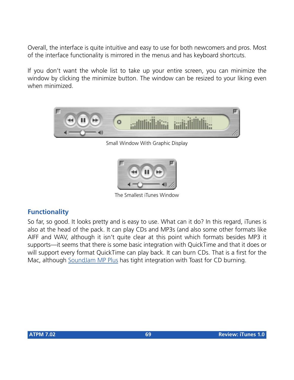Overall, the interface is quite intuitive and easy to use for both newcomers and pros. Most of the interface functionality is mirrored in the menus and has keyboard shortcuts.

If you don't want the whole list to take up your entire screen, you can minimize the window by clicking the minimize button. The window can be resized to your liking even when minimized.



Small Window With Graphic Display



The Smallest iTunes Window

### **Functionality**

So far, so good. It looks pretty and is easy to use. What can it do? In this regard, iTunes is also at the head of the pack. It can play CDs and MP3s (and also some other formats like AIFF and WAV, although it isn't quite clear at this point which formats besides MP3 it supports—it seems that there is some basic integration with QuickTime and that it does or will support every format QuickTime can play back. It can burn CDs. That is a first for the Mac, although [SoundJam MP Plus](http://www.atpm.com/6.10/soundjam.shtml) has tight integration with Toast for CD burning.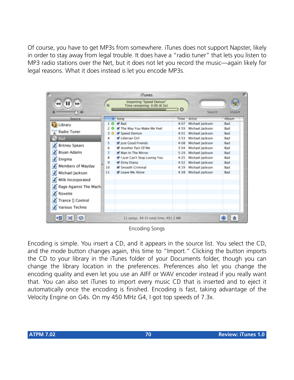Of course, you have to get MP3s from somewhere. iTunes does not support Napster, likely in order to stay away from legal trouble. It does have a "radio tuner" that lets you listen to MP3 radio stations over the Net, but it does not let you record the music—again likely for legal reasons. What it does instead is let you encode MP3s.

|                       |    | <b>iTunes</b>                                          |         |                 | m           |
|-----------------------|----|--------------------------------------------------------|---------|-----------------|-------------|
| ⊭<br>۸U               | ō  | Importing "Speed Demon"<br>Time remaining: 0:06 (6.5x) | $\circ$ | Search          | 2<br>Import |
| Source                |    | <b>A</b> Song                                          | Time    | Artist          | Album       |
| Library               | 10 | W Bad                                                  | 4:07    | Michael Jackson | Bad         |
|                       |    | M The Way You Make Me Feel                             | 4:59    | Michael Jackson | Bad         |
| Radio Tuner           | 30 | Speed Demon                                            | 4:01    | Michael Jackson | Bad         |
| Bad                   | 4  | V Liberian Girl                                        | 3:53    | Michael Jackson | <b>Bad</b>  |
| <b>Britney Spears</b> | 5  | M Just Good Friends                                    | 4:08    | Michael Jackson | Bad         |
|                       | 6  | M Another Part Of Me                                   | 3:54    | Michael Jackson | Bad         |
| Bryan Adams           | 7  | Man In The Mirror                                      | 5:19    | Michael Jackson | Bad         |
| Enigma                | 8  | St I Just Can't Stop Loving You                        | 4:25    | Michael Jackson | Bad         |
|                       | 9  | Oirty Diana                                            | 4:52    | Michael Jackson | Bad         |
| Members of Mayday     | 10 | Smooth Criminal                                        | 4:19    | Michael Jackson | Bad         |
| T.<br>Michael Jackson | 11 | M Leave Me Alone                                       | 4:38    | Michael Jackson | Bad         |
| Milk Incorporated     |    |                                                        |         |                 |             |
| Rage Against The Mach |    |                                                        |         |                 |             |
| W<br>Roxette          |    |                                                        |         |                 |             |
| Trance [] Control     |    |                                                        |         |                 |             |
| Various Techno        |    |                                                        |         |                 |             |
|                       |    | 11 songs, 48:35 total time, 491.2 MB                   |         |                 |             |

Encoding Songs

Encoding is simple. You insert a CD, and it appears in the source list. You select the CD, and the mode button changes again, this time to "Import." Clicking the button imports the CD to your library in the iTunes folder of your Documents folder, though you can change the library location in the preferences. Preferences also let you change the encoding quality and even let you use an AIFF or WAV encoder instead if you really want that. You can also set iTunes to import every music CD that is inserted and to eject it automatically once the encoding is finished. Encoding is fast, taking advantage of the Velocity Engine on G4s. On my 450 MHz G4, I got top speeds of 7.3x.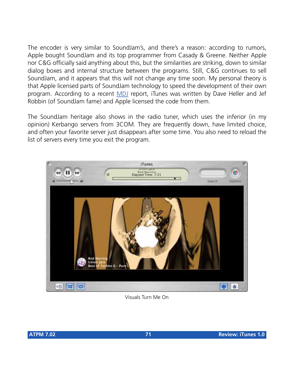The encoder is very similar to SoundJam's, and there's a reason: according to rumors, Apple bought SoundJam and its top programmer from Casady & Greene. Neither Apple nor C&G officially said anything about this, but the similarities are striking, down to similar dialog boxes and internal structure between the programs. Still, C&G continues to sell SoundJam, and it appears that this will not change any time soon. My personal theory is that Apple licensed parts of SoundJam technology to speed the development of their own program. According to a recent [MDJ](http://www.macjournals.com) report, iTunes was written by Dave Heller and Jef Robbin (of SoundJam fame) and Apple licensed the code from them.

The SoundJam heritage also shows in the radio tuner, which uses the inferior (in my opinion) Kerbango servers from 3COM. They are frequently down, have limited choice, and often your favorite server just disappears after some time. You also need to reload the list of servers every time you exit the program.



Visuals Turn Me On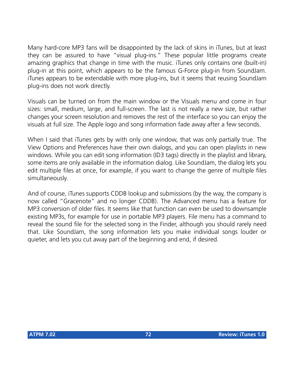Many hard-core MP3 fans will be disappointed by the lack of skins in iTunes, but at least they can be assured to have "visual plug-ins." These popular little programs create amazing graphics that change in time with the music. iTunes only contains one (built-in) plug-in at this point, which appears to be the famous G-Force plug-in from SoundJam. iTunes appears to be extendable with more plug-ins, but it seems that reusing SoundJam plug-ins does not work directly.

Visuals can be turned on from the main window or the Visuals menu and come in four sizes: small, medium, large, and full-screen. The last is not really a new size, but rather changes your screen resolution and removes the rest of the interface so you can enjoy the visuals at full size. The Apple logo and song information fade away after a few seconds.

When I said that iTunes gets by with only one window, that was only partially true. The View Options and Preferences have their own dialogs, and you can open playlists in new windows. While you can edit song information (ID3 tags) directly in the playlist and library, some items are only available in the information dialog. Like SoundJam, the dialog lets you edit multiple files at once, for example, if you want to change the genre of multiple files simultaneously.

And of course, iTunes supports CDDB lookup and submissions (by the way, the company is now called "Gracenote" and no longer CDDB). The Advanced menu has a feature for MP3 conversion of older files. It seems like that function can even be used to downsample existing MP3s, for example for use in portable MP3 players. File menu has a command to reveal the sound file for the selected song in the Finder, although you should rarely need that. Like SoundJam, the song information lets you make individual songs louder or quieter, and lets you cut away part of the beginning and end, if desired.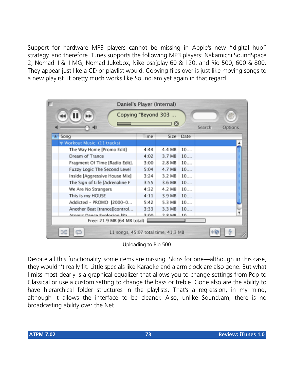Support for hardware MP3 players cannot be missing in Apple's new "digital hub" strategy, and therefore iTunes supports the following MP3 players: Nakamichi SoundSpace 2, Nomad II & II MG, Nomad Jukebox, Nike psa[play 60 & 120, and Rio 500, 600 & 800. They appear just like a CD or playlist would. Copying files over is just like moving songs to a new playlist. It pretty much works like SoundJam yet again in that regard.

|                                | Daniel's Player (Internal)                   |      |          |           |        |         |  |
|--------------------------------|----------------------------------------------|------|----------|-----------|--------|---------|--|
|                                | Copying "Beyond 303<br>$\boldsymbol{\Omega}$ |      |          |           | Search | Options |  |
| Song                           |                                              | Time |          | Size Date |        |         |  |
| Workout Music (11 tracks)      |                                              |      |          |           |        |         |  |
| The Way Home [Promo Edit]      |                                              | 4:44 | 4.4 MB   | 10        |        |         |  |
| Dream of Trance                |                                              | 4:02 | 3.7 MB   | 10        |        |         |  |
| Fragment Of Time [Radio Edit]. |                                              | 3:00 | 2.8 MB   | 10        |        |         |  |
| Fuzzy Logic The Second Level   |                                              | 5:04 | 4.7 MB   | 10        |        |         |  |
| Inside [Aggressive House Mix]  |                                              | 3:24 | 3.2 MB   | 10        |        |         |  |
| The Sign of Life [Adrenaline F |                                              | 3:55 | 3.6 MB   | 10        |        |         |  |
| We Are No Strangers            |                                              | 4:32 | 4.2 MB   | 10        |        |         |  |
| This is my HOUSE               |                                              | 4:11 | 3.9 MB   | 10        |        |         |  |
| Addicted - PROMO [2000-0       |                                              | 5:42 | 5.3 MB   | 10        |        |         |  |
| Another Beat [trance]]control  |                                              | 3:33 | 3.3 MB   | 10        |        |         |  |
| Atomic Dance Explosion IPa     |                                              | 2:00 | $2.8$ MR | $\Box$    |        |         |  |
| Free: 21.9 MB (64 MB total)    |                                              |      |          |           |        |         |  |
|                                | 11 songs, 45:07 total time, 41.3 MB          |      |          |           |        |         |  |

Uploading to Rio 500

Despite all this functionality, some items are missing. Skins for one—although in this case, they wouldn't really fit. Little specials like Karaoke and alarm clock are also gone. But what I miss most dearly is a graphical equalizer that allows you to change settings from Pop to Classical or use a custom setting to change the bass or treble. Gone also are the ability to have hierarchical folder structures in the playlists. That's a regression, in my mind, although it allows the interface to be cleaner. Also, unlike SoundJam, there is no broadcasting ability over the Net.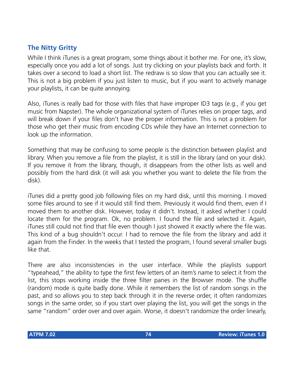# **The Nitty Gritty**

While I think iTunes is a great program, some things about it bother me. For one, it's slow, especially once you add a lot of songs. Just try clicking on your playlists back and forth. It takes over a second to load a short list. The redraw is so slow that you can actually see it. This is not a big problem if you just listen to music, but if you want to actively manage your playlists, it can be quite annoying.

Also, iTunes is really bad for those with files that have improper ID3 tags (e.g., if you get music from Napster). The whole organizational system of iTunes relies on proper tags, and will break down if your files don't have the proper information. This is not a problem for those who get their music from encoding CDs while they have an Internet connection to look up the information.

Something that may be confusing to some people is the distinction between playlist and library. When you remove a file from the playlist, it is still in the library (and on your disk). If you remove it from the library, though, it disappears from the other lists as well and possibly from the hard disk (it will ask you whether you want to delete the file from the disk).

iTunes did a pretty good job following files on my hard disk, until this morning. I moved some files around to see if it would still find them. Previously it would find them, even if I moved them to another disk. However, today it didn't. Instead, it asked whether I could locate them for the program. Ok, no problem. I found the file and selected it. Again, iTunes still could not find that file even though I just showed it exactly where the file was. This kind of a bug shouldn't occur. I had to remove the file from the library and add it again from the Finder. In the weeks that I tested the program, I found several smaller bugs like that.

There are also inconsistencies in the user interface. While the playlists support "typeahead," the ability to type the first few letters of an item's name to select it from the list, this stops working inside the three filter panes in the Browser mode. The shuffle (random) mode is quite badly done. While it remembers the list of random songs in the past, and so allows you to step back through it in the reverse order, it often randomizes songs in the same order, so if you start over playing the list, you will get the songs in the same "random" order over and over again. Worse, it doesn't randomize the order linearly,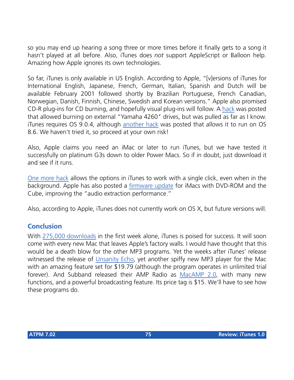so you may end up hearing a song three or more times before it finally gets to a song it hasn't played at all before. Also, iTunes does *not* support AppleScript or Balloon help. Amazing how Apple ignores its own technologies.

So far, iTunes is only available in US English. According to Apple, "[v]ersions of iTunes for International English, Japanese, French, German, Italian, Spanish and Dutch will be available February 2001 followed shortly by Brazilian Portuguese, French Canadian, Norwegian, Danish, Finnish, Chinese, Swedish and Korean versions." Apple also promised CD-R plug-ins for CD burning, and hopefully visual plug-ins will follow. A [hack](http://www.macfixit.com/ultimate/Forum21/HTML/000037.html) was posted that allowed burning on external "Yamaha 4260" drives, but was pulled as far as I know. iTunes requires OS 9.0.4, although [another hack](http://g.wallaceiii.tripod.com/Stumpp.html) was posted that allows it to run on OS 8.6. We haven't tried it, so proceed at your own risk!

Also, Apple claims you need an iMac or later to run iTunes, but we have tested it successfully on platinum G3s down to older Power Macs. So if in doubt, just download it and see if it runs.

[One more hack](http://www.resexcellence.com/hack_html_01/01�24�01.shtml) allows the options in iTunes to work with a single click, even when in the background. Apple has also posted a [firmware update](http://asu.info.apple.com/swupdates.nsf/artnum/n11914) for iMacs with DVD-ROM and the Cube, improving the "audio extraction performance."

Also, according to Apple, iTunes does not currently work on OS X, but future versions will.

# **Conclusion**

With [275,000 downloads](http://www.apple.com/pr/library/2001/jan/16itunes.html) in the first week alone, iTunes is poised for success. It will soon come with every new Mac that leaves Apple's factory walls. I would have thought that this would be a death blow for the other MP3 programs. Yet the weeks after iTunes' release witnessed the release of *[Unsanity Echo](http://www.unsanity.com/echo.html)*, yet another spiffy new MP3 player for the Mac with an amazing feature set for \$19.79 (although the program operates in unlimited trial forever). And Subband released their AMP Radio as [MacAMP 2.0](http://www.subband.com/macamp/), with many new functions, and a powerful broadcasting feature. Its price tag is \$15. We'll have to see how these programs do.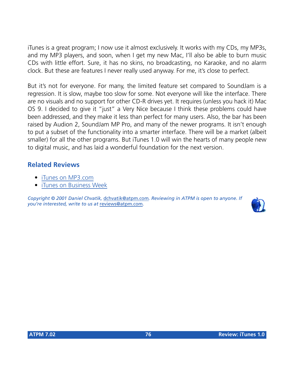iTunes is a great program; I now use it almost exclusively. It works with my CDs, my MP3s, and my MP3 players, and soon, when I get my new Mac, I'll also be able to burn music CDs with little effort. Sure, it has no skins, no broadcasting, no Karaoke, and no alarm clock. But these are features I never really used anyway. For me, it's close to perfect.

But it's not for everyone. For many, the limited feature set compared to SoundJam is a regression. It is slow, maybe too slow for some. Not everyone will like the interface. There are no visuals and no support for other CD-R drives yet. It requires (unless you hack it) Mac OS 9. I decided to give it "just" a Very Nice because I think these problems could have been addressed, and they make it less than perfect for many users. Also, the bar has been raised by Audion 2, SoundJam MP Pro, and many of the newer programs. It isn't enough to put a subset of the functionality into a smarter interface. There will be a market (albeit smaller) for all the other programs. But iTunes 1.0 will win the hearts of many people new to digital music, and has laid a wonderful foundation for the next version.

# **Related Reviews**

- [iTunes on MP3.com](http://software.mp3.com/software/individual/3322.html)
- [iTunes on Business Week](http://www.businessweek.com/bwdaily/dnflash/jan2001/nf20010124_897.htm)

*Copyright © 2001 Daniel Chvatik,* [dchvatik@atpm.com](mailto:dchvatik@atpm.com)*. Reviewing in ATPM is open to anyone. If you're interested, write to us at* [reviews@atpm.com](mailto:reviews@atpm.com)*.*

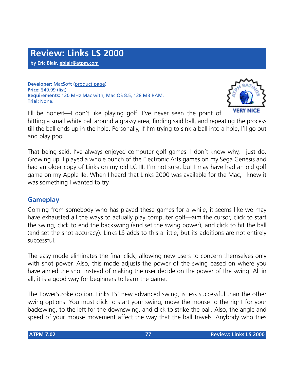**Developer:** MacSoft ([product page\)](http://www.wizorks.com/macsoft/link_2000/links_2K.html) **Price:** \$49.99 (list) **Requirements:** 120 MHz Mac with, Mac OS 8.5, 128 MB RAM. **Trial:** None.



I'll be honest—I don't like playing golf. I've never seen the point of hitting a small white ball around a grassy area, finding said ball, and repeating the process till the ball ends up in the hole. Personally, if I'm trying to sink a ball into a hole, I'll go out and play pool.

That being said, I've always enjoyed computer golf games. I don't know why, I just do. Growing up, I played a whole bunch of the Electronic Arts games on my Sega Genesis and had an older copy of Links on my old LC III. I'm not sure, but I may have had an old golf game on my Apple IIe. When I heard that Links 2000 was available for the Mac, I knew it was something I wanted to try.

# **Gameplay**

Coming from somebody who has played these games for a while, it seems like we may have exhausted all the ways to actually play computer golf—aim the cursor, click to start the swing, click to end the backswing (and set the swing power), and click to hit the ball (and set the shot accuracy). Links LS adds to this a little, but its additions are not entirely successful.

The easy mode eliminates the final click, allowing new users to concern themselves only with shot power. Also, this mode adjusts the power of the swing based on where you have aimed the shot instead of making the user decide on the power of the swing. All in all, it is a good way for beginners to learn the game.

The PowerStroke option, Links LS' new advanced swing, is less successful than the other swing options. You must click to start your swing, move the mouse to the right for your backswing, to the left for the downswing, and click to strike the ball. Also, the angle and speed of your mouse movement affect the way that the ball travels. Anybody who tries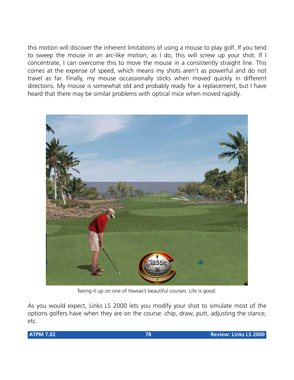this motion will discover the inherent limitations of using a mouse to play golf. If you tend to sweep the mouse in an arc-like motion, as I do, this will screw up your shot. If I concentrate, I can overcome this to move the mouse in a consistently straight line. This comes at the expense of speed, which means my shots aren't as powerful and do not travel as far. Finally, my mouse occassionally sticks when moved quickly in different directions. My mouse is somewhat old and probably ready for a replacement, but I have heard that there may be similar problems with optical mice when moved rapidly.



Teeing it up on one of Hawaii's beautiful courses. Life is good.

As you would expect, Links LS 2000 lets you modify your shot to simulate most of the options golfers have when they are on the course: chip, draw, putt, adjusting the stance, etc.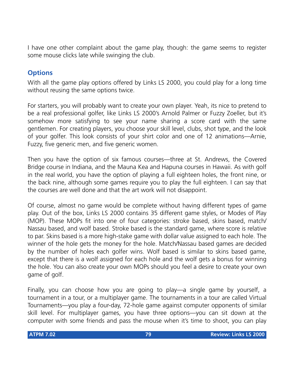I have one other complaint about the game play, though: the game seems to register some mouse clicks late while swinging the club.

# **Options**

With all the game play options offered by Links LS 2000, you could play for a long time without reusing the same options twice.

For starters, you will probably want to create your own player. Yeah, its nice to pretend to be a real professional golfer, like Links LS 2000's Arnold Palmer or Fuzzy Zoeller, but it's somehow more satisfying to see your name sharing a score card with the same gentlemen. For creating players, you choose your skill level, clubs, shot type, and the look of your golfer. This look consists of your shirt color and one of 12 animations—Arnie, Fuzzy, five generic men, and five generic women.

Then you have the option of six famous courses—three at St. Andrews, the Covered Bridge course in Indiana, and the Mauna Kea and Hapuna courses in Hawaii. As with golf in the real world, you have the option of playing a full eighteen holes, the front nine, or the back nine, although some games require you to play the full eighteen. I can say that the courses are well done and that the art work will not disappoint.

Of course, almost no game would be complete without having different types of game play. Out of the box, Links LS 2000 contains 35 different game styles, or Modes of Play (MOP). These MOPs fit into one of four categories: stroke based, skins based, match/ Nassau based, and wolf based. Stroke based is the standard game, where score is relative to par. Skins based is a more high-stake game with dollar value assigned to each hole. The winner of the hole gets the money for the hole. Match/Nassau based games are decided by the number of holes each golfer wins. Wolf based is similar to skins based game, except that there is a wolf assigned for each hole and the wolf gets a bonus for winning the hole. You can also create your own MOPs should you feel a desire to create your own game of golf.

Finally, you can choose how you are going to play—a single game by yourself, a tournament in a tour, or a multiplayer game. The tournaments in a tour are called Virtual Tournaments—you play a four-day, 72-hole game against computer opponents of similar skill level. For multiplayer games, you have three options—you can sit down at the computer with some friends and pass the mouse when it's time to shoot, you can play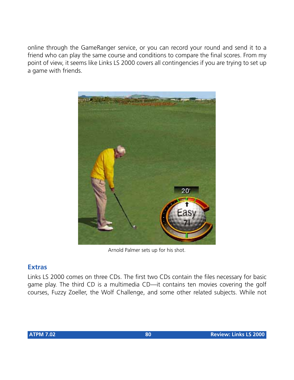online through the GameRanger service, or you can record your round and send it to a friend who can play the same course and conditions to compare the final scores. From my point of view, it seems like Links LS 2000 covers all contingencies if you are trying to set up a game with friends.



Arnold Palmer sets up for his shot.

#### **Extras**

Links LS 2000 comes on three CDs. The first two CDs contain the files necessary for basic game play. The third CD is a multimedia CD—it contains ten movies covering the golf courses, Fuzzy Zoeller, the Wolf Challenge, and some other related subjects. While not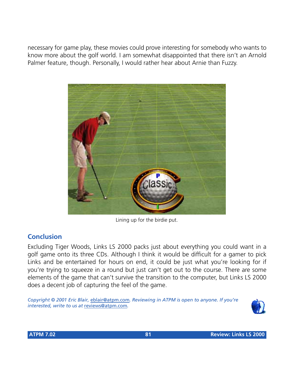necessary for game play, these movies could prove interesting for somebody who wants to know more about the golf world. I am somewhat disappointed that there isn't an Arnold Palmer feature, though. Personally, I would rather hear about Arnie than Fuzzy.



Lining up for the birdie put.

# **Conclusion**

Excluding Tiger Woods, Links LS 2000 packs just about everything you could want in a golf game onto its three CDs. Although I think it would be difficult for a gamer to pick Links and be entertained for hours on end, it could be just what you're looking for if you're trying to squeeze in a round but just can't get out to the course. There are some elements of the game that can't survive the transition to the computer, but Links LS 2000 does a decent job of capturing the feel of the game.

*Copyright © 2001 Eric Blair,* [eblair@atpm.com](mailto:eblair@atpm.com)*. Reviewing in ATPM is open to anyone. If you're interested, write to us at* [reviews@atpm.com](mailto:reviews@atpm.com)*.*

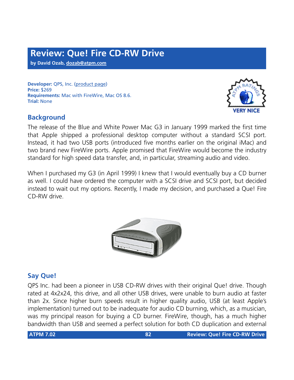**by David Ozab, [dozab@atpm.com](mailto:dozab@atpm.com)**

**Developer:** QPS, Inc. ([product page](http://www.qps-inc.com/cgi-bin/display?tm=fire_drive_8&dir=products)) **Price:** \$269 **Requirements:** Mac with FireWire, Mac OS 8.6. **Trial:** None



The release of the Blue and White Power Mac G3 in January 1999 marked the first time that Apple shipped a professional desktop computer without a standard SCSI port. Instead, it had two USB ports (introduced five months earlier on the original iMac) and two brand new FireWire ports. Apple promised that FireWire would become the industry standard for high speed data transfer, and, in particular, streaming audio and video.

When I purchased my G3 (in April 1999) I knew that I would eventually buy a CD burner as well. I could have ordered the computer with a SCSI drive and SCSI port, but decided instead to wait out my options. Recently, I made my decision, and purchased a Que! Fire CD-RW drive.



# **Say Que!**

QPS Inc. had been a pioneer in USB CD-RW drives with their original Que! drive. Though rated at 4x2x24, this drive, and all other USB drives, were unable to burn audio at faster than 2x. Since higher burn speeds result in higher quality audio, USB (at least Apple's implementation) turned out to be inadequate for audio CD burning, which, as a musician, was my principal reason for buying a CD burner. FireWire, though, has a much higher bandwidth than USB and seemed a perfect solution for both CD duplication and external

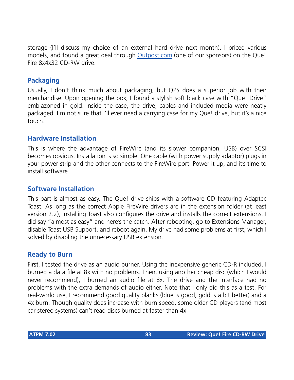storage (I'll discuss my choice of an external hard drive next month). I priced various models, and found a great deal through [Outpost.com](http://www.linksynergy.com/fs-bin/stat?id=N00D3BtDeo0&offerid=2161&type=3) (one of our sponsors) on the Que! Fire 8x4x32 CD-RW drive.

# **Packaging**

Usually, I don't think much about packaging, but QPS does a superior job with their merchandise. Upon opening the box, I found a stylish soft black case with "Que! Drive" emblazoned in gold. Inside the case, the drive, cables and included media were neatly packaged. I'm not sure that I'll ever need a carrying case for my Que! drive, but it's a nice touch.

# **Hardware Installation**

This is where the advantage of FireWire (and its slower companion, USB) over SCSI becomes obvious. Installation is so simple. One cable (with power supply adaptor) plugs in your power strip and the other connects to the FireWire port. Power it up, and it's time to install software.

#### **Software Installation**

This part is almost as easy. The Que! drive ships with a software CD featuring Adaptec Toast. As long as the correct Apple FireWire drivers are in the extension folder (at least version 2.2), installing Toast also configures the drive and installs the correct extensions. I did say "almost as easy" and here's the catch. After rebooting, go to Extensions Manager, disable Toast USB Support, and reboot again. My drive had some problems at first, which I solved by disabling the unnecessary USB extension.

#### **Ready to Burn**

First, I tested the drive as an audio burner. Using the inexpensive generic CD-R included, I burned a data file at 8x with no problems. Then, using another cheap disc (which I would never recommend), I burned an audio file at 8x. The drive and the interface had no problems with the extra demands of audio either. Note that I only did this as a test. For real-world use, I recommend good quality blanks (blue is good, gold is a bit better) and a 4x burn. Though quality does increase with burn speed, some older CD players (and most car stereo systems) can't read discs burned at faster than 4x.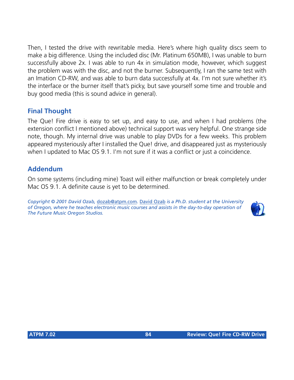Then, I tested the drive with rewritable media. Here's where high quality discs seem to make a big difference. Using the included disc (Mr. Platinum 650MB), I was unable to burn successfully above 2x. I was able to run 4x in simulation mode, however, which suggest the problem was with the disc, and not the burner. Subsequently, I ran the same test with an Imation CD-RW, and was able to burn data successfully at 4x. I'm not sure whether it's the interface or the burner itself that's picky, but save yourself some time and trouble and buy good media (this is sound advice in general).

# **Final Thought**

The Que! Fire drive is easy to set up, and easy to use, and when I had problems (the extension conflict I mentioned above) technical support was very helpful. One strange side note, though. My internal drive was unable to play DVDs for a few weeks. This problem appeared mysteriously after I installed the Que! drive, and disappeared just as mysteriously when I updated to Mac OS 9.1. I'm not sure if it was a conflict or just a coincidence.

#### **Addendum**

On some systems (including mine) Toast will either malfunction or break completely under Mac OS 9.1. A definite cause is yet to be determined.

*Copyright © 2001 David Ozab,* [dozab@atpm.com](mailto:dozab@atpm.com)*.* [David Ozab](http://darkwing.uoregon.edu/%7Edlo) *is a Ph.D. student at the University of Oregon, where he teaches electronic music courses and assists in the day-to-day operation of The Future Music Oregon Studios.*

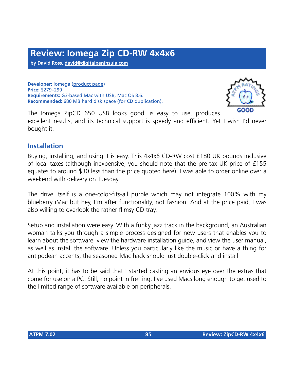**by David Ross, [david@digitalpeninsula.com](mailto:david@digitalpeninsula.com)**

**Developer:** Iomega ([product page](http://www.iomega.com/zipcd/products/externalcdrw.html)) **Price:** \$279–299 **Requirements:** G3-based Mac with USB, Mac OS 8.6. **Recommended:** 680 MB hard disk space (for CD duplication).



The Iomega ZipCD 650 USB looks good, is easy to use, produces excellent results, and its technical support is speedy and efficient. Yet I wish I'd never bought it.

#### **Installation**

Buying, installing, and using it is easy. This 4x4x6 CD-RW cost £180 UK pounds inclusive of local taxes (although inexpensive, you should note that the pre-tax UK price of £155 equates to around \$30 less than the price quoted here). I was able to order online over a weekend with delivery on Tuesday.

The drive itself is a one-color-fits-all purple which may not integrate 100% with my blueberry iMac but hey, I'm after functionality, not fashion. And at the price paid, I was also willing to overlook the rather flimsy CD tray.

Setup and installation were easy. With a funky jazz track in the background, an Australian woman talks you through a simple process designed for new users that enables you to learn about the software, view the hardware installation guide, and view the user manual, as well as install the software. Unless you particularly like the music or have a thing for antipodean accents, the seasoned Mac hack should just double-click and install.

At this point, it has to be said that I started casting an envious eye over the extras that come for use on a PC. Still, no point in fretting. I've used Macs long enough to get used to the limited range of software available on peripherals.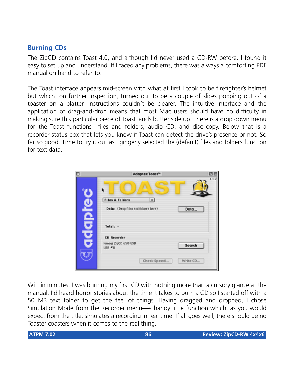# **Burning CDs**

The ZipCD contains Toast 4.0, and although I'd never used a CD-RW before, I found it easy to set up and understand. If I faced any problems, there was always a comforting PDF manual on hand to refer to.

The Toast interface appears mid-screen with what at first I took to be firefighter's helmet but which, on further inspection, turned out to be a couple of slices popping out of a toaster on a platter. Instructions couldn't be clearer. The intuitive interface and the application of drag-and-drop means that most Mac users should have no difficulty in making sure this particular piece of Toast lands butter side up. There is a drop down menu for the Toast functions—files and folders, audio CD, and disc copy. Below that is a recorder status box that lets you know if Toast can detect the drive's presence or not. So far so good. Time to try it out as I gingerly selected the (default) files and folders function for text data.

| 回目<br>Adaptec Toast"                                                                                     |
|----------------------------------------------------------------------------------------------------------|
| 4.1.2<br><b>Files &amp; Folders</b><br><b>D</b><br>Data: (Drop files and folders here)<br>Data           |
| Total: -<br><b>CD Recorder</b><br>lomegs ZipCD 650 USB<br>Search<br>$USB = 0$<br>Write CD<br>Check Speed |
|                                                                                                          |

Within minutes, I was burning my first CD with nothing more than a cursory glance at the manual. I'd heard horror stories about the time it takes to burn a CD so I started off with a 50 MB text folder to get the feel of things. Having dragged and dropped, I chose Simulation Mode from the Recorder menu—a handy little function which, as you would expect from the title, simulates a recording in real time. If all goes well, there should be no Toaster coasters when it comes to the real thing.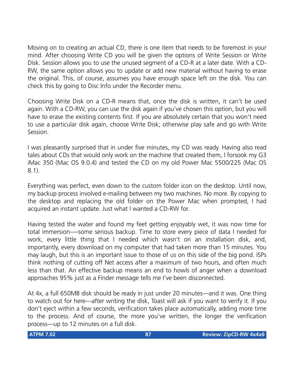Moving on to creating an actual CD, there is one item that needs to be foremost in your mind. After choosing Write CD you will be given the options of Write Session or Write Disk. Session allows you to use the unused segment of a CD-R at a later date. With a CD-RW, the same option allows you to update or add new material without having to erase the original. This, of course, assumes you have enough space left on the disk. You can check this by going to Disc Info under the Recorder menu.

Choosing Write Disk on a CD-R means that, once the disk is written, it can't be used again. With a CD-RW, you can use the disk again if you've chosen this option, but you will have to erase the existing contents first. If you are absolutely certain that you won't need to use a particular disk again, choose Write Disk; otherwise play safe and go with Write Session.

I was pleasantly surprised that in under five minutes, my CD was ready. Having also read tales about CDs that would only work on the machine that created them, I forsook my G3 iMac 350 (Mac OS 9.0.4) and tested the CD on my old Power Mac 5500/225 (Mac OS 8.1).

Everything was perfect, even down to the custom folder icon on the desktop. Until now, my backup process involved e-mailing between my two machines. No more. By copying to the desktop and replacing the old folder on the Power Mac when prompted, I had acquired an instant update. Just what I wanted a CD-RW for.

Having tested the water and found my feet getting enjoyably wet, it was now time for total immersion—-some serious backup. Time to store every piece of data I needed for work, every little thing that I needed which wasn't on an installation disk, and, importantly, every download on my computer that had taken more than 15 minutes. You may laugh, but this is an important issue to those of us on this side of the big pond. ISPs think nothing of cutting off Net access after a maximum of two hours, and often much less than that. An effective backup means an end to howls of anger when a download approaches 95% just as a Finder message tells me I've been disconnected.

At 4x, a full 650MB disk should be ready in just under 20 minutes—and it was. One thing to watch out for here—after writing the disk, Toast will ask if you want to verify it. If you don't eject within a few seconds, verification takes place automatically, adding more time to the process. And of course, the more you've written, the longer the verification process—up to 12 minutes on a full disk.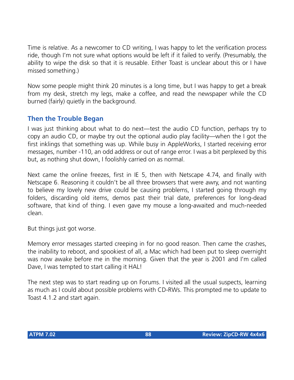Time is relative. As a newcomer to CD writing, I was happy to let the verification process ride, though I'm not sure what options would be left if it failed to verify. (Presumably, the ability to wipe the disk so that it is reusable. Either Toast is unclear about this or I have missed something.)

Now some people might think 20 minutes is a long time, but I was happy to get a break from my desk, stretch my legs, make a coffee, and read the newspaper while the CD burned (fairly) quietly in the background.

#### **Then the Trouble Began**

I was just thinking about what to do next—test the audio CD function, perhaps try to copy an audio CD, or maybe try out the optional audio play facility—when the I got the first inklings that something was up. While busy in AppleWorks, I started receiving error messages, number -110, an odd address or out of range error. I was a bit perplexed by this but, as nothing shut down, I foolishly carried on as normal.

Next came the online freezes, first in IE 5, then with Netscape 4.74, and finally with Netscape 6. Reasoning it couldn't be all three browsers that were awry, and not wanting to believe my lovely new drive could be causing problems, I started going through my folders, discarding old items, demos past their trial date, preferences for long-dead software, that kind of thing. I even gave my mouse a long-awaited and much-needed clean.

But things just got worse.

Memory error messages started creeping in for no good reason. Then came the crashes, the inability to reboot, and spookiest of all, a Mac which had been put to sleep overnight was now awake before me in the morning. Given that the year is 2001 and I'm called Dave, I was tempted to start calling it HAL!

The next step was to start reading up on Forums. I visited all the usual suspects, learning as much as I could about possible problems with CD-RWs. This prompted me to update to Toast 4.1.2 and start again.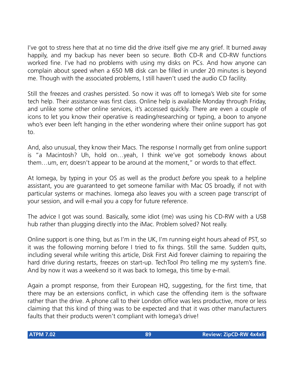I've got to stress here that at no time did the drive itself give me any grief. It burned away happily, and my backup has never been so secure. Both CD-R and CD-RW functions worked fine. I've had no problems with using my disks on PCs. And how anyone can complain about speed when a 650 MB disk can be filled in under 20 minutes is beyond me. Though with the associated problems, I still haven't used the audio CD facility.

Still the freezes and crashes persisted. So now it was off to Iomega's Web site for some tech help. Their assistance was first class. Online help is available Monday through Friday, and unlike some other online services, it's accessed quickly. There are even a couple of icons to let you know their operative is reading/researching or typing, a boon to anyone who's ever been left hanging in the ether wondering where their online support has got to.

And, also unusual, they know their Macs. The response I normally get from online support is "a Macintosh? Uh, hold on…yeah, I think we've got somebody knows about them…um, err, doesn't appear to be around at the moment," or words to that effect.

At Iomega, by typing in your OS as well as the product *before* you speak to a helpline assistant, you are guaranteed to get someone familiar with Mac OS broadly, if not with particular systems or machines. Iomega also leaves you with a screen page transcript of your session, and will e-mail you a copy for future reference.

The advice I got was sound. Basically, some idiot (me) was using his CD-RW with a USB hub rather than plugging directly into the iMac. Problem solved? Not really.

Online support is one thing, but as I'm in the UK, I'm running eight hours ahead of PST, so it was the following morning before I tried to fix things. Still the same. Sudden quits, including several while writing this article, Disk First Aid forever claiming to repairing the hard drive during restarts, freezes on start-up. TechTool Pro telling me my system's fine. And by now it was a weekend so it was back to Iomega, this time by e-mail.

Again a prompt response, from their European HQ, suggesting, for the first time, that there may be an extensions conflict, in which case the offending item is the software rather than the drive. A phone call to their London office was less productive, more or less claiming that this kind of thing was to be expected and that it was other manufacturers faults that their products weren't compliant with Iomega's drive!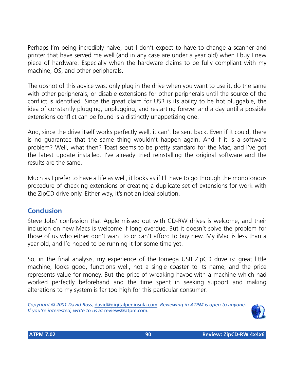Perhaps I'm being incredibly naive, but I don't expect to have to change a scanner and printer that have served me well (and in any case are under a year old) when I buy I new piece of hardware. Especially when the hardware claims to be fully compliant with my machine, OS, and other peripherals.

The upshot of this advice was: only plug in the drive when you want to use it, do the same with other peripherals, or disable extensions for other peripherals until the source of the conflict is identified. Since the great claim for USB is its ability to be hot pluggable, the idea of constantly plugging, unplugging, and restarting forever and a day until a possible extensions conflict can be found is a distinctly unappetizing one.

And, since the drive itself works perfectly well, it can't be sent back. Even if it could, there is no guarantee that the same thing wouldn't happen again. And if it is a software problem? Well, what then? Toast seems to be pretty standard for the Mac, and I've got the latest update installed. I've already tried reinstalling the original software and the results are the same.

Much as I prefer to have a life as well, it looks as if I'll have to go through the monotonous procedure of checking extensions or creating a duplicate set of extensions for work with the ZipCD drive only. Either way, it's not an ideal solution.

# **Conclusion**

Steve Jobs' confession that Apple missed out with CD-RW drives is welcome, and their inclusion on new Macs is welcome if long overdue. But it doesn't solve the problem for those of us who either don't want to or can't afford to buy new. My iMac is less than a year old, and I'd hoped to be running it for some time yet.

So, in the final analysis, my experience of the Iomega USB ZipCD drive is: great little machine, looks good, functions well, not a single coaster to its name, and the price represents value for money. But the price of wreaking havoc with a machine which had worked perfectly beforehand and the time spent in seeking support and making alterations to my system is far too high for this particular consumer.

*Copyright © 2001 David Ross,* [david@digitalpeninsula.com](mailto:david@digitalpeninsula.com)*. Reviewing in ATPM is open to anyone. If you're interested, write to us at* [reviews@atpm.com](mailto:reviews@atpm.com)*.*

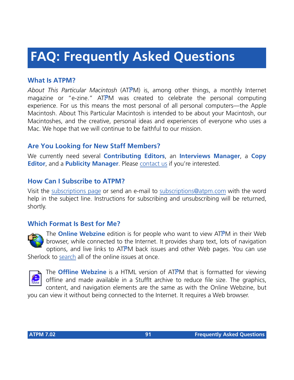# **FAQ: Frequently Asked Questions**

# **What Is ATPM?**

*About This Particular Macintosh* (ATPM) is, among other things, a monthly Internet magazine or "e-zine." ATPM was created to celebrate the personal computing experience. For us this means the most personal of all personal computers—the Apple Macintosh. About This Particular Macintosh is intended to be about your Macintosh, our Macintoshes, and the creative, personal ideas and experiences of everyone who uses a Mac. We hope that we will continue to be faithful to our mission.

# **Are You Looking for New Staff Members?**

We currently need several **Contributing Editors**, an **Interviews Manager**, a **Copy Editor**, and a **Publicity Manager**. Please [contact us](mailto:editor@atpm.com) if you're interested.

#### **How Can I Subscribe to ATPM?**

Visit the [subscriptions page](http://www.atpm.com/subscribe) or send an e-mail to [subscriptions@atpm.com](mailto:subscriptions@atpm.com) with the word help in the subject line. Instructions for subscribing and unsubscribing will be returned, shortly.

#### **Which Format Is Best for Me?**



The **Online Webzine** edition is for people who want to view ATPM in their Web browser, while connected to the Internet. It provides sharp text, lots of navigation options, and live links to ATPM back issues and other Web pages. You can use Sherlock to [search](http://www.atpm.com/search) all of the online issues at once.



The **Offline Webzine** is a HTML version of ATPM that is formatted for viewing offline and made available in a StuffIt archive to reduce file size. The graphics, content, and navigation elements are the same as with the Online Webzine, but

you can view it without being connected to the Internet. It requires a Web browser.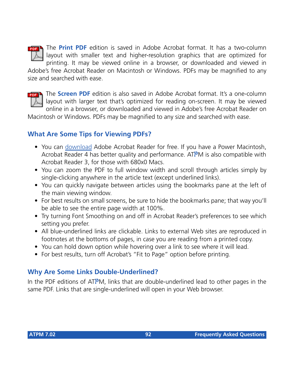

The **Print PDF** edition is saved in Adobe Acrobat format. It has a two-column layout with smaller text and higher-resolution graphics that are optimized for printing. It may be viewed online in a browser, or downloaded and viewed in

Adobe's free Acrobat Reader on Macintosh or Windows. PDFs may be magnified to any size and searched with ease.



The **Screen PDF** edition is also saved in Adobe Acrobat format. It's a one-column layout with larger text that's optimized for reading on-screen. It may be viewed online in a browser, or downloaded and viewed in Adobe's free Acrobat Reader on

Macintosh or Windows. PDFs may be magnified to any size and searched with ease.

# **What Are Some Tips for Viewing PDFs?**

- You can [download](http://www.adobe.com/prodindex/acrobat/readstep.html) Adobe Acrobat Reader for free. If you have a Power Macintosh, Acrobat Reader 4 has better quality and performance. ATPM is also compatible with Acrobat Reader 3, for those with 680x0 Macs.
- You can zoom the PDF to full window width and scroll through articles simply by single-clicking anywhere in the article text (except underlined links).
- You can quickly navigate between articles using the bookmarks pane at the left of the main viewing window.
- For best results on small screens, be sure to hide the bookmarks pane; that way you'll be able to see the entire page width at 100%.
- Try turning Font Smoothing on and off in Acrobat Reader's preferences to see which setting you prefer.
- All blue-underlined links are clickable. Links to external Web sites are reproduced in footnotes at the bottoms of pages, in case you are reading from a printed copy.
- You can hold down option while hovering over a link to see where it will lead.
- For best results, turn off Acrobat's "Fit to Page" option before printing.

# **Why Are Some Links Double-Underlined?**

In the PDF editions of ATPM, links that are double-underlined lead to other pages in the same PDF. Links that are single-underlined will open in your Web browser.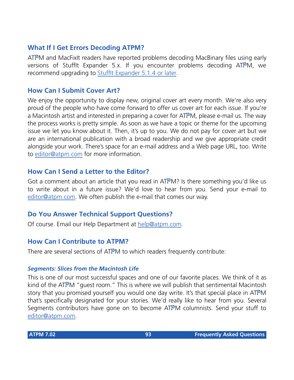# **What If I Get Errors Decoding ATPM?**

ATPM and MacFixIt readers have reported problems decoding MacBinary files using early versions of Stufflt Expander 5.x. If you encounter problems decoding ATPM, we recommend upgrading to [StuffIt Expander 5.1.4 or later](http://www.aladdinsys.com/expander/index.html).

#### **How Can I Submit Cover Art?**

We enjoy the opportunity to display new, original cover art every month. We're also very proud of the people who have come forward to offer us cover art for each issue. If you're a Macintosh artist and interested in preparing a cover for ATPM, please e-mail us. The way the process works is pretty simple. As soon as we have a topic or theme for the upcoming issue we let you know about it. Then, it's up to you. We do not pay for cover art but we are an international publication with a broad readership and we give appropriate credit alongside your work. There's space for an e-mail address and a Web page URL, too. Write to [editor@atpm.com](mailto:editor@atpm.com) for more information.

#### **How Can I Send a Letter to the Editor?**

Got a comment about an article that you read in  $ATPM$ ? Is there something you'd like us to write about in a future issue? We'd love to hear from you. Send your e-mail to [editor@atpm.com.](mailto:editor@atpm.com) We often publish the e-mail that comes our way.

#### **Do You Answer Technical Support Questions?**

Of course. Email our Help Department at [help@atpm.com](mailto:help@atpm.com).

#### **How Can I Contribute to ATPM?**

There are several sections of ATPM to which readers frequently contribute:

#### *Segments: Slices from the Macintosh Life*

This is one of our most successful spaces and one of our favorite places. We think of it as kind of the ATPM "guest room." This is where we will publish that sentimental Macintosh story that you promised yourself you would one day write. It's that special place in ATPM that's specifically designated for your stories. We'd really like to hear from you. Several Segments contributors have gone on to become ATPM columnists. Send your stuff to [editor@atpm.com.](mailto:editor@atpm.com)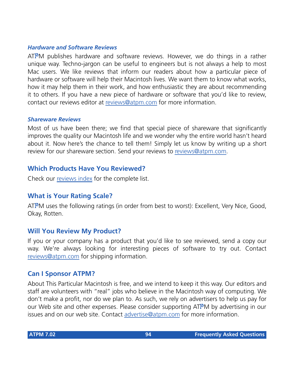#### *Hardware and Software Reviews*

ATPM publishes hardware and software reviews. However, we do things in a rather unique way. Techno-jargon can be useful to engineers but is not always a help to most Mac users. We like reviews that inform our readers about how a particular piece of hardware or software will help their Macintosh lives. We want them to know what works, how it may help them in their work, and how enthusiastic they are about recommending it to others. If you have a new piece of hardware or software that you'd like to review, contact our reviews editor at [reviews@atpm.com](mailto:reviews@atpm.com) for more information.

#### *Shareware Reviews*

Most of us have been there; we find that special piece of shareware that significantly improves the quality our Macintosh life and we wonder why the entire world hasn't heard about it. Now here's the chance to tell them! Simply let us know by writing up a short review for our shareware section. Send your reviews to [reviews@atpm.com](mailto:reviews@atpm.com).

#### **Which Products Have You Reviewed?**

Check our [reviews index](http://www.atpm.com/reviews) for the complete list.

#### **What is Your Rating Scale?**

ATPM uses the following ratings (in order from best to worst): Excellent, Very Nice, Good, Okay, Rotten.

#### **Will You Review My Product?**

If you or your company has a product that you'd like to see reviewed, send a copy our way. We're always looking for interesting pieces of software to try out. Contact [reviews@atpm.com](mailto:reviews@atpm.com) for shipping information.

#### **Can I Sponsor ATPM?**

About This Particular Macintosh is free, and we intend to keep it this way. Our editors and staff are volunteers with "real" jobs who believe in the Macintosh way of computing. We don't make a profit, nor do we plan to. As such, we rely on advertisers to help us pay for our Web site and other expenses. Please consider supporting ATPM by advertising in our issues and on our web site. Contact<advertise@atpm.com>for more information.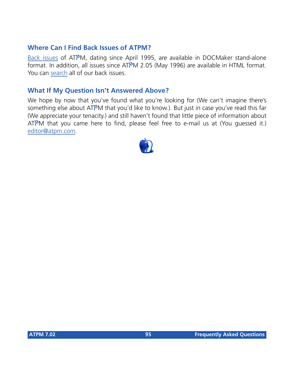#### **Where Can I Find Back Issues of ATPM?**

[Back issues](http://www.atpm.com/Back/) of ATPM, dating since April 1995, are available in DOCMaker stand-alone format. In addition, all issues since ATPM 2.05 (May 1996) are available in HTML format. You can [search](http://www.atpm.com/search) all of our back issues.

#### **What If My Question Isn't Answered Above?**

We hope by now that you've found what you're looking for (We can't imagine there's something else about ATPM that you'd like to know.). But just in case you've read this far (We appreciate your tenacity.) and still haven't found that little piece of information about ATPM that you came here to find, please feel free to e-mail us at (You guessed it.) [editor@atpm.com.](mailto:editor@atpm.com)